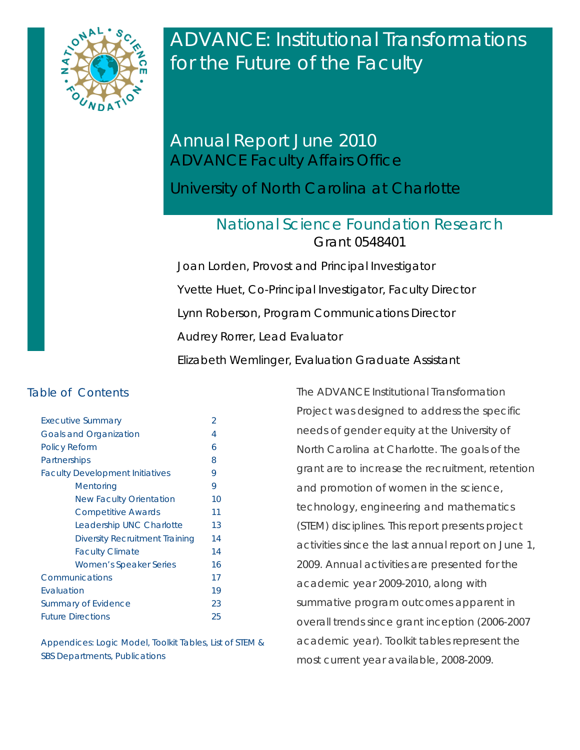

ADVANCE: Institutional Transformations for the Future of the Faculty

# Annual Report June 2010 ADVANCE Faculty Affairs Office

University of North Carolina at Charlotte

# National Science Foundation Research Grant 0548401

Joan Lorden, *Provost and Principal Investigator* Yvette Huet, *Co-Principal Investigator, Faculty Director*  Lynn Roberson, Program Communications Director Audrey Rorrer, *Lead Evaluator* Elizabeth Wemlinger, *Evaluation Graduate Assistant*

# Table of Contents

| <b>Executive Summary</b>               | $\mathfrak{D}$ |
|----------------------------------------|----------------|
| <b>Goals and Organization</b>          | 4              |
| <b>Policy Reform</b>                   | 6              |
| Partnerships                           | 8              |
| <b>Faculty Development Initiatives</b> | 9              |
| Mentoring                              | 9              |
| <b>New Faculty Orientation</b>         | 10             |
| Competitive Awards                     | 11             |
| Leadership UNC Charlotte               | 13             |
| <b>Diversity Recruitment Training</b>  | 14             |
| <b>Faculty Climate</b>                 | 14             |
| <b>Women's Speaker Series</b>          | 16             |
| Communications                         | 17             |
| Evaluation                             | 19             |
| <b>Summary of Evidence</b>             | 23             |
| <b>Future Directions</b>               | 25             |

Appendices: Logic Model, Toolkit Tables, List of STEM & SBS Departments, Publications

The ADVANCE Institutional Transformation Project was designed to address the specific needs of gender equity at the University of North Carolina at Charlotte. The goals of the grant are to increase the recruitment, retention and promotion of women in the science, technology, engineering and mathematics (STEM) disciplines. This report presents project activities since the last annual report on June 1, 2009. Annual activities are presented for the academic year 2009-2010, along with summative program outcomes apparent in overall trends since grant inception (2006-2007 academic year). Toolkit tables represent the most current year available, 2008-2009.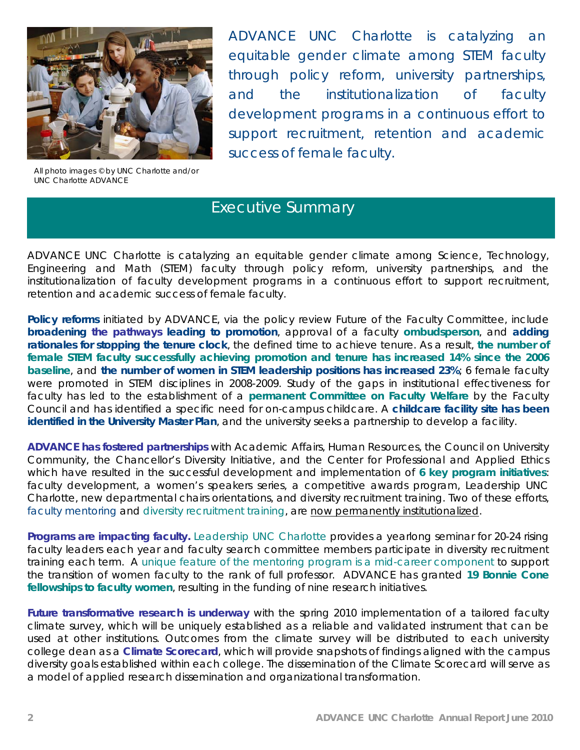

All photo images © by UNC Charlotte and/or UNC Charlotte ADVANCE

ADVANCE UNC Charlotte is catalyzing an equitable gender climate among STEM faculty through policy reform, university partnerships, and the institutionalization of faculty development programs in a continuous effort to support recruitment, retention and academic success of female faculty.

# Executive Summary

ADVANCE UNC Charlotte is catalyzing an equitable gender climate among Science, Technology, Engineering and Math (STEM) faculty through policy reform, university partnerships, and the institutionalization of faculty development programs in a continuous effort to support recruitment, retention and academic success of female faculty.

**Policy reforms** initiated by ADVANCE, via the policy review Future of the Faculty Committee, include **broadening the pathways leading to promotion**, approval of a faculty **ombudsperson**, and **adding rationales for stopping the tenure clock**, the defined time to achieve tenure. As a result, **the number of female STEM faculty successfully achieving promotion and tenure has increased 14% since the 2006 baseline**, and **the number of women in STEM leadership positions has increased 23%**; 6 female faculty were promoted in STEM disciplines in 2008-2009. Study of the gaps in institutional effectiveness for faculty has led to the establishment of a **permanent Committee on Faculty Welfare** by the Faculty Council and has identified a specific need for on-campus childcare. A **childcare facility site has been identified in the University Master Plan**, and the university seeks a partnership to develop a facility.

**ADVANCE has fostered partnerships** with Academic Affairs, Human Resources, the Council on University Community, the Chancellor's Diversity Initiative, and the Center for Professional and Applied Ethics which have resulted in the successful development and implementation of **6 key program initiatives**: faculty development, a women's speakers series, a competitive awards program, Leadership UNC Charlotte, new departmental chairs orientations, and diversity recruitment training. Two of these efforts, faculty mentoring and diversity recruitment training, are now permanently institutionalized.

**Programs are impacting faculty.** Leadership UNC Charlotte provides a yearlong seminar for 20-24 rising faculty leaders each year and faculty search committee members participate in diversity recruitment training each term. A *unique feature of the mentoring program is a mid-career component* to support the transition of women faculty to the rank of full professor. ADVANCE has granted **19 Bonnie Cone fellowships to faculty women**, resulting in the funding of nine research initiatives.

Future transformative research is underway with the spring 2010 implementation of a tailored faculty climate survey, which will be uniquely established as a reliable and validated instrument that can be used at other institutions. Outcomes from the climate survey will be distributed to each university college dean as a **Climate Scorecard**, which will provide snapshots of findings aligned with the campus diversity goals established within each college. The dissemination of the Climate Scorecard will serve as a model of applied research dissemination and organizational transformation.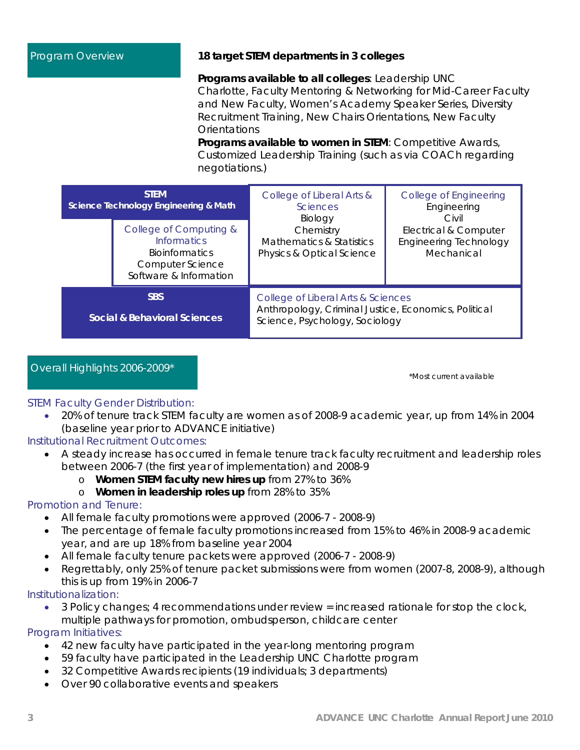## Program Overview **18 target STEM departments in 3 colleges**

 **Programs available to all colleges***:* Leadership UNC Charlotte, Faculty Mentoring & Networking for Mid-Career Faculty and New Faculty, Women's Academy Speaker Series, Diversity Recruitment Training, New Chairs Orientations, New Faculty **Orientations** 

**Programs available to women in STEM**: Competitive Awards, Customized Leadership Training (such as via COACh regarding negotiations.)

| <b>STEM</b><br>Science Technology Engineering & Math                                                                |  | College of Liberal Arts &<br><b>Sciences</b><br>Biology                                                                      | College of Engineering<br>Engineering<br>Civil                       |  |  |
|---------------------------------------------------------------------------------------------------------------------|--|------------------------------------------------------------------------------------------------------------------------------|----------------------------------------------------------------------|--|--|
| College of Computing &<br><b>Informatics</b><br><b>Bioinformatics</b><br>Computer Science<br>Software & Information |  | Chemistry<br>Mathematics & Statistics<br><b>Physics &amp; Optical Science</b>                                                | Electrical & Computer<br><b>Engineering Technology</b><br>Mechanical |  |  |
| <b>SBS</b><br>Social & Behavioral Sciences                                                                          |  | College of Liberal Arts & Sciences<br>Anthropology, Criminal Justice, Economics, Political<br>Science, Psychology, Sociology |                                                                      |  |  |

# Overall Highlights 2006-2009\*

\*Most current available

## STEM Faculty Gender Distribution:

• 20% of tenure track STEM faculty are women as of 2008-9 academic year, up from 14% in 2004 (baseline year prior to ADVANCE initiative)

## Institutional Recruitment Outcomes:

- A steady increase has occurred in female tenure track faculty recruitment and leadership roles between 2006-7 (the first year of implementation) and 2008-9
	- o **Women STEM faculty new hires up** from 27% to 36%
	- o **Women in leadership roles up** from 28% to 35%

# Promotion and Tenure:

- All female faculty promotions were approved (2006-7 2008-9)
- The percentage of female faculty promotions increased from 15% to 46% in 2008-9 academic year, and are up 18% from baseline year 2004
- All female faculty tenure packets were approved (2006-7 2008-9)
- Regrettably, only 25% of tenure packet submissions were from women (2007-8, 2008-9), although this is up from 19% in 2006-7

## Institutionalization:

• 3 Policy changes; 4 recommendations under review = increased rationale for stop the clock, multiple pathways for promotion, ombudsperson, childcare center

## Program Initiatives:

- 42 new faculty have participated in the year-long mentoring program
- 59 faculty have participated in the Leadership UNC Charlotte program
- 32 Competitive Awards recipients (19 individuals; 3 departments)
- Over 90 collaborative events and speakers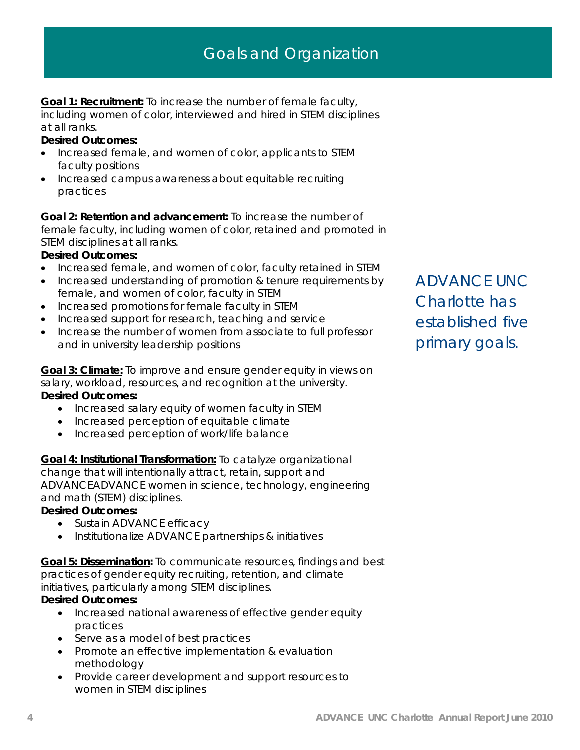# Goals and Organization

**Goal 1: Recruitment:** To increase the number of female faculty, including women of color, interviewed and hired in STEM disciplines at all ranks.

### **Desired Outcomes:**

- Increased female, and women of color, applicants to STEM faculty positions
- Increased campus awareness about equitable recruiting practices

**Goal 2: Retention and advancement:** To increase the number of female faculty, including women of color, retained and promoted in STEM disciplines at all ranks.

## **Desired Outcomes:**

- Increased female, and women of color, faculty retained in STEM
- Increased understanding of promotion & tenure requirements by female, and women of color, faculty in STEM
- Increased promotions for female faculty in STEM
- Increased support for research, teaching and service
- Increase the number of women from associate to full professor and in university leadership positions

**Goal 3: Climate:** To improve and ensure gender equity in views on salary, workload, resources, and recognition at the university.

# **Desired Outcomes:**

- Increased salary equity of women faculty in STEM
- Increased perception of equitable climate
- Increased perception of work/life balance

**Goal 4: Institutional Transformation:** To catalyze organizational

change that will intentionally attract, retain, support and ADVANCEADVANCE women in science, technology, engineering and math (STEM) disciplines.

## **Desired Outcomes:**

- Sustain ADVANCE efficacy
- Institutionalize ADVANCE partnerships & initiatives

**Goal 5: Dissemination:** To communicate resources, findings and best practices of gender equity recruiting, retention, and climate initiatives, particularly among STEM disciplines.

## **Desired Outcomes:**

- Increased national awareness of effective gender equity practices
- Serve as a model of best practices
- Promote an effective implementation & evaluation methodology
- Provide career development and support resources to women in STEM disciplines

ADVANCE UNC Charlotte has established five primary goals.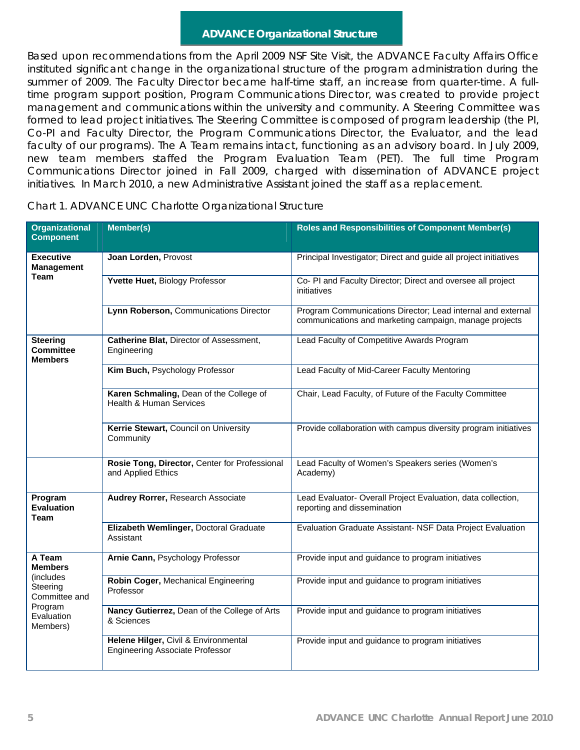# **ADVANCE Organizational Structure**

Based upon recommendations from the April 2009 NSF Site Visit, the ADVANCE Faculty Affairs Office instituted significant change in the organizational structure of the program administration during the summer of 2009. The Faculty Director became half-time staff, an increase from quarter-time. A fulltime program support position, Program Communications Director, was created to provide project management and communications within the university and community. A Steering Committee was formed to lead project initiatives. The Steering Committee is composed of program leadership (the PI, Co-PI and Faculty Director, the Program Communications Director, the Evaluator, and the lead faculty of our programs). The A Team remains intact, functioning as an advisory board. In July 2009, new team members staffed the Program Evaluation Team (PET). The full time Program Communications Director joined in Fall 2009, charged with dissemination of ADVANCE project initiatives. In March 2010, a new Administrative Assistant joined the staff as a replacement.

| <b>Organizational</b><br><b>Component</b>                                           | Member(s)                                                                      | <b>Roles and Responsibilities of Component Member(s)</b>                                                              |
|-------------------------------------------------------------------------------------|--------------------------------------------------------------------------------|-----------------------------------------------------------------------------------------------------------------------|
| <b>Executive</b><br><b>Management</b>                                               | Joan Lorden, Provost                                                           | Principal Investigator; Direct and guide all project initiatives                                                      |
| <b>Team</b>                                                                         | Yvette Huet, Biology Professor                                                 | Co- PI and Faculty Director; Direct and oversee all project<br>initiatives                                            |
|                                                                                     | Lynn Roberson, Communications Director                                         | Program Communications Director; Lead internal and external<br>communications and marketing campaign, manage projects |
| <b>Steering</b><br><b>Committee</b><br><b>Members</b>                               | Catherine Blat, Director of Assessment,<br>Engineering                         | Lead Faculty of Competitive Awards Program                                                                            |
|                                                                                     | Kim Buch, Psychology Professor                                                 | Lead Faculty of Mid-Career Faculty Mentoring                                                                          |
|                                                                                     | Karen Schmaling, Dean of the College of<br>Health & Human Services             | Chair, Lead Faculty, of Future of the Faculty Committee                                                               |
|                                                                                     | Kerrie Stewart, Council on University<br>Community                             | Provide collaboration with campus diversity program initiatives                                                       |
|                                                                                     | Rosie Tong, Director, Center for Professional<br>and Applied Ethics            | Lead Faculty of Women's Speakers series (Women's<br>Academy)                                                          |
| Program<br><b>Evaluation</b><br>Team                                                | Audrey Rorrer, Research Associate                                              | Lead Evaluator- Overall Project Evaluation, data collection,<br>reporting and dissemination                           |
|                                                                                     | Elizabeth Wemlinger, Doctoral Graduate<br>Assistant                            | Evaluation Graduate Assistant- NSF Data Project Evaluation                                                            |
| A Team<br><b>Members</b>                                                            | Arnie Cann, Psychology Professor                                               | Provide input and guidance to program initiatives                                                                     |
| <i>(includes)</i><br>Steering<br>Committee and<br>Program<br>Evaluation<br>Members) | Robin Coger, Mechanical Engineering<br>Professor                               | Provide input and guidance to program initiatives                                                                     |
|                                                                                     | Nancy Gutierrez, Dean of the College of Arts<br>& Sciences                     | Provide input and guidance to program initiatives                                                                     |
|                                                                                     | Helene Hilger, Civil & Environmental<br><b>Engineering Associate Professor</b> | Provide input and guidance to program initiatives                                                                     |

Chart 1. ADVANCE UNC Charlotte Organizational Structure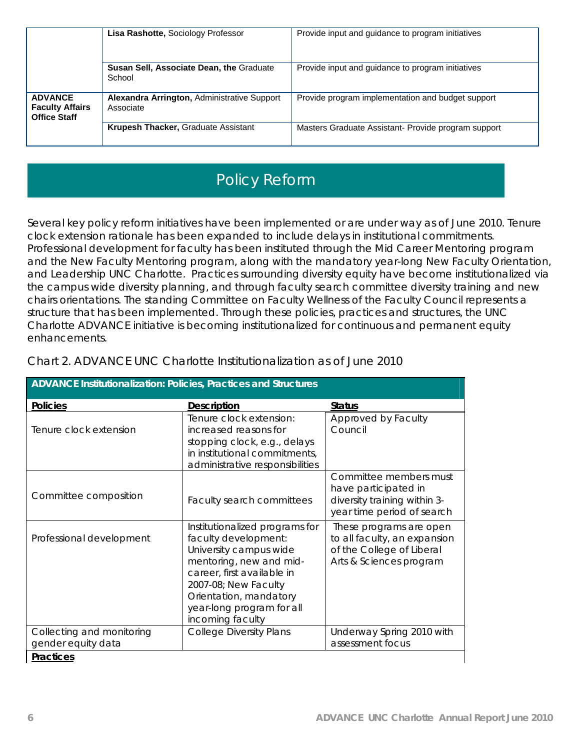|                                                                 | Lisa Rashotte, Sociology Professor                       | Provide input and guidance to program initiatives   |
|-----------------------------------------------------------------|----------------------------------------------------------|-----------------------------------------------------|
|                                                                 | Susan Sell, Associate Dean, the Graduate<br>School       | Provide input and guidance to program initiatives   |
| <b>ADVANCE</b><br><b>Faculty Affairs</b><br><b>Office Staff</b> | Alexandra Arrington, Administrative Support<br>Associate | Provide program implementation and budget support   |
|                                                                 | <b>Krupesh Thacker, Graduate Assistant</b>               | Masters Graduate Assistant- Provide program support |

# Policy Reform

Several key policy reform initiatives have been implemented or are under way as of June 2010. Tenure clock extension rationale has been expanded to include delays in institutional commitments. Professional development for faculty has been instituted through the Mid Career Mentoring program and the New Faculty Mentoring program, along with the mandatory year-long New Faculty Orientation, and Leadership UNC Charlotte. Practices surrounding diversity equity have become institutionalized via the campus wide diversity planning, and through faculty search committee diversity training and new chairs orientations. The standing Committee on Faculty Wellness of the Faculty Council represents a structure that has been implemented. Through these policies, practices and structures, the UNC Charlotte ADVANCE initiative is becoming institutionalized for continuous and permanent equity enhancements.

| ADVANCE Institutionalization: Policies, Practices and Structures |                                                                                                                                                                                                                                              |                                                                                                                 |  |  |  |  |
|------------------------------------------------------------------|----------------------------------------------------------------------------------------------------------------------------------------------------------------------------------------------------------------------------------------------|-----------------------------------------------------------------------------------------------------------------|--|--|--|--|
| <b>Policies</b>                                                  | <b>Description</b>                                                                                                                                                                                                                           | <b>Status</b>                                                                                                   |  |  |  |  |
| Tenure clock extension                                           | Tenure clock extension:<br>increased reasons for<br>stopping clock, e.g., delays<br>in institutional commitments,<br>administrative responsibilities                                                                                         | Approved by Faculty<br>Council                                                                                  |  |  |  |  |
| Committee composition                                            | Faculty search committees                                                                                                                                                                                                                    | Committee members must<br>have participated in<br>diversity training within 3-<br>year time period of search    |  |  |  |  |
| Professional development                                         | Institutionalized programs for<br>faculty development:<br>University campus wide<br>mentoring, new and mid-<br>career, first available in<br>2007-08; New Faculty<br>Orientation, mandatory<br>year-long program for all<br>incoming faculty | These programs are open<br>to all faculty, an expansion<br>of the College of Liberal<br>Arts & Sciences program |  |  |  |  |
| Collecting and monitoring<br>gender equity data                  | <b>College Diversity Plans</b>                                                                                                                                                                                                               | Underway Spring 2010 with<br>assessment focus                                                                   |  |  |  |  |
| <b>Practices</b>                                                 |                                                                                                                                                                                                                                              |                                                                                                                 |  |  |  |  |

Chart 2. ADVANCE UNC Charlotte Institutionalization as of June 2010

#### **Practices**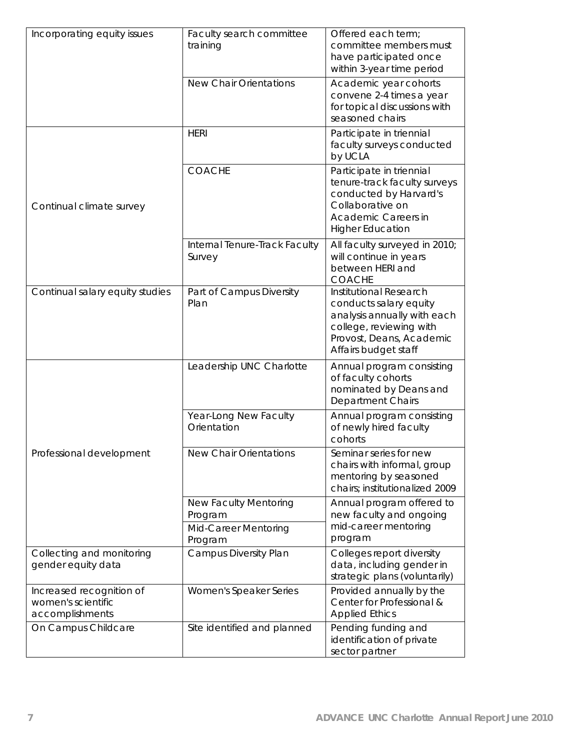| Incorporating equity issues                                       | Faculty search committee<br>training                                       | Offered each term;<br>committee members must<br>have participated once<br>within 3-year time period                                                            |
|-------------------------------------------------------------------|----------------------------------------------------------------------------|----------------------------------------------------------------------------------------------------------------------------------------------------------------|
|                                                                   | <b>New Chair Orientations</b>                                              | Academic year cohorts<br>convene 2-4 times a year<br>for topical discussions with<br>seasoned chairs                                                           |
|                                                                   | <b>HERI</b>                                                                | Participate in triennial<br>faculty surveys conducted<br>by UCLA                                                                                               |
| Continual climate survey                                          | <b>COACHE</b>                                                              | Participate in triennial<br>tenure-track faculty surveys<br>conducted by Harvard's<br>Collaborative on<br>Academic Careers in<br><b>Higher Education</b>       |
|                                                                   | Internal Tenure-Track Faculty<br>Survey                                    | All faculty surveyed in 2010;<br>will continue in years<br>between HERI and<br><b>COACHE</b>                                                                   |
| Continual salary equity studies                                   | Part of Campus Diversity<br>Plan                                           | Institutional Research<br>conducts salary equity<br>analysis annually with each<br>college, reviewing with<br>Provost, Deans, Academic<br>Affairs budget staff |
|                                                                   | Leadership UNC Charlotte                                                   | Annual program consisting<br>of faculty cohorts<br>nominated by Deans and<br>Department Chairs                                                                 |
|                                                                   | Year-Long New Faculty<br>Orientation                                       | Annual program consisting<br>of newly hired faculty<br>cohorts                                                                                                 |
| Professional development                                          | New Chair Orientations                                                     | Seminar series for new<br>chairs with informal, group<br>mentoring by seasoned<br>chairs; institutionalized 2009                                               |
|                                                                   | <b>New Faculty Mentoring</b><br>Program<br>Mid-Career Mentoring<br>Program | Annual program offered to<br>new faculty and ongoing<br>mid-career mentoring<br>program                                                                        |
| Collecting and monitoring<br>gender equity data                   | Campus Diversity Plan                                                      | Colleges report diversity<br>data, including gender in<br>strategic plans (voluntarily)                                                                        |
| Increased recognition of<br>women's scientific<br>accomplishments | Women's Speaker Series                                                     | Provided annually by the<br>Center for Professional &<br><b>Applied Ethics</b>                                                                                 |
| On Campus Childcare                                               | Site identified and planned                                                | Pending funding and<br>identification of private<br>sector partner                                                                                             |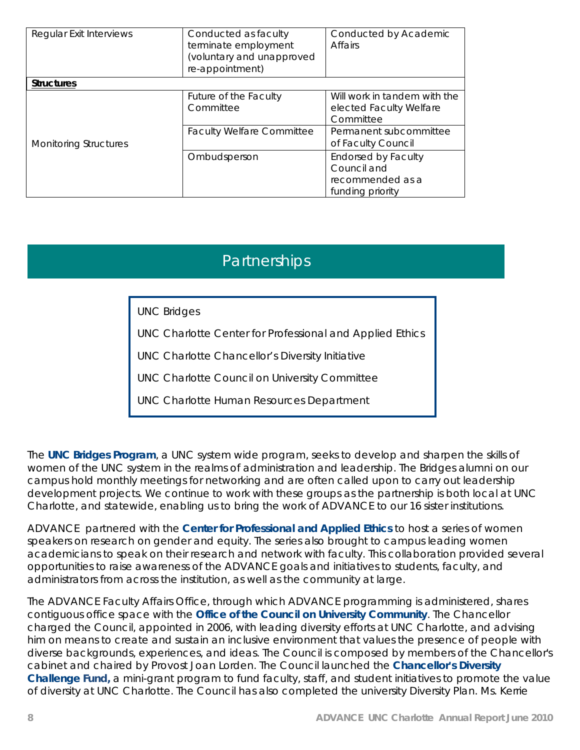| Regular Exit Interviews      | Conducted as faculty<br>terminate employment<br>(voluntary and unapproved<br>re-appointment) | Conducted by Academic<br><b>Affairs</b>                                           |
|------------------------------|----------------------------------------------------------------------------------------------|-----------------------------------------------------------------------------------|
| <b>Structures</b>            |                                                                                              |                                                                                   |
|                              | Future of the Faculty<br>Committee                                                           | Will work in tandem with the<br>elected Faculty Welfare<br>Committee              |
| <b>Monitoring Structures</b> | <b>Faculty Welfare Committee</b>                                                             | Permanent subcommittee<br>of Faculty Council                                      |
|                              | Ombudsperson                                                                                 | <b>Endorsed by Faculty</b><br>Council and<br>recommended as a<br>funding priority |

# **Partnerships**

UNC Bridges

UNC Charlotte Center for Professional and Applied Ethics

UNC Charlotte Chancellor's Diversity Initiative

UNC Charlotte Council on University Committee

UNC Charlotte Human Resources Department

The **UNC Bridges Program**, a UNC system wide program, seeks to develop and sharpen the skills of women of the UNC system in the realms of administration and leadership. The Bridges alumni on our campus hold monthly meetings for networking and are often called upon to carry out leadership development projects. We continue to work with these groups as the partnership is both local at UNC Charlotte, and statewide, enabling us to bring the work of ADVANCE to our 16 sister institutions.

ADVANCE partnered with the **Center for Professional and Applied Ethics** to host a series of women speakers on research on gender and equity. The series also brought to campus leading women academicians to speak on their research and network with faculty. This collaboration provided several opportunities to raise awareness of the ADVANCE goals and initiatives to students, faculty, and administrators from across the institution, as well as the community at large.

The ADVANCE Faculty Affairs Office, through which ADVANCE programming is administered, shares contiguous office space with the **Office of the Council on University Community**. The Chancellor charged the Council, appointed in 2006, with leading diversity efforts at UNC Charlotte, and advising him on means to create and sustain an inclusive environment that values the presence of people with diverse backgrounds, experiences, and ideas. The Council is composed by members of the Chancellor's cabinet and chaired by Provost Joan Lorden. The Council launched the **Chancellor's Diversity Challenge Fund,** a mini-grant program to fund faculty, staff, and student initiatives to promote the value of diversity at UNC Charlotte. The Council has also completed the university Diversity Plan. Ms. Kerrie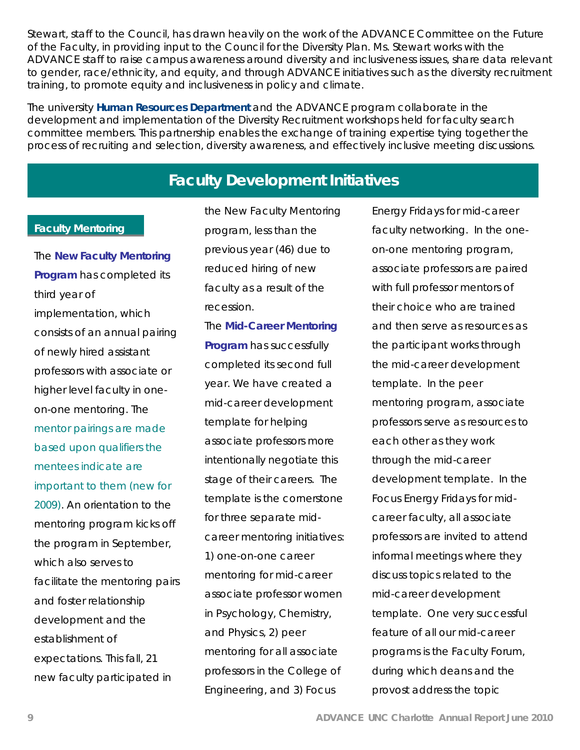Stewart, staff to the Council, has drawn heavily on the work of the ADVANCE Committee on the Future of the Faculty, in providing input to the Council for the Diversity Plan. Ms. Stewart works with the ADVANCE staff to raise campus awareness around diversity and inclusiveness issues, share data relevant to gender, race/ethnicity, and equity, and through ADVANCE initiatives such as the diversity recruitment training, to promote equity and inclusiveness in policy and climate.

The university **Human Resources Department** and the ADVANCE program collaborate in the development and implementation of the Diversity Recruitment workshops held for faculty search committee members. This partnership enables the exchange of training expertise tying together the process of recruiting and selection, diversity awareness, and effectively inclusive meeting discussions.

# **Faculty Development Initiatives**

#### **Faculty Mentoring**

The **New Faculty Mentoring Program** has completed its third year of implementation, which consists of an annual pairing of newly hired assistant professors with associate or higher level faculty in oneon-one mentoring. The mentor pairings are made based upon qualifiers the mentees indicate are important to them (new for 2009). An orientation to the mentoring program kicks off the program in September, which also serves to facilitate the mentoring pairs and foster relationship development and the establishment of expectations. This fall, 21 new faculty participated in

the New Faculty Mentoring program, less than the previous year (46) due to reduced hiring of new faculty as a result of the recession.

The **Mid-Career Mentoring Program** has successfully completed its second full year. We have created a mid-career development template for helping associate professors more intentionally negotiate this stage of their careers. The template is the cornerstone for three separate midcareer mentoring initiatives: 1) one-on-one career mentoring for mid-career associate professor women in Psychology, Chemistry, and Physics, 2) peer mentoring for all associate professors in the College of Engineering, and 3) Focus

Energy Fridays for mid-career faculty networking. In the oneon-one mentoring program, associate professors are paired with full professor mentors of their choice who are trained and then serve as resources as the participant works through the mid-career development template. In the peer mentoring program, associate professors serve as resources to each other as they work through the mid-career development template. In the Focus Energy Fridays for midcareer faculty, all associate professors are invited to attend informal meetings where they discuss topics related to the mid-career development template. One very successful feature of all our mid-career programs is the Faculty Forum, during which deans and the provost address the topic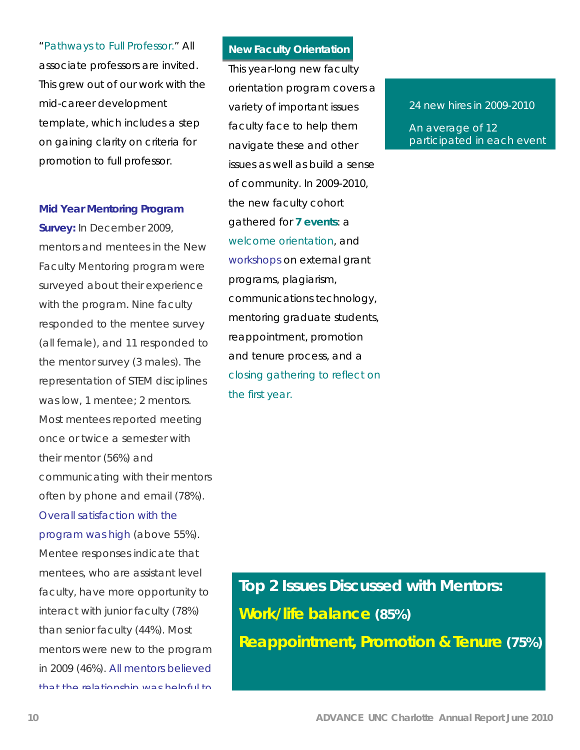"Pathways to Full Professor." All associate professors are invited. This grew out of our work with the mid-career development template, which includes a step on gaining clarity on criteria for promotion to full professor.

#### **Mid Year Mentoring Program**

**Survey:** In December 2009, mentors and mentees in the New Faculty Mentoring program were surveyed about their experience with the program. Nine faculty responded to the mentee survey (all female), and 11 responded to the mentor survey (3 males). The representation of STEM disciplines was low, 1 mentee; 2 mentors. Most mentees reported meeting once or twice a semester with their mentor (56%) and communicating with their mentors often by phone and email (78%). Overall satisfaction with the program was high (above 55%). Mentee responses indicate that mentees, who are assistant level faculty, have more opportunity to interact with junior faculty (78%) than senior faculty (44%). Most mentors were new to the program in 2009 (46%). All mentors believed that the relationship was helpful to

### **New Faculty Orientation**

This year-long new faculty orientation program covers a variety of important issues faculty face to help them navigate these and other issues as well as build a sense of community. In 2009-2010, the new faculty cohort gathered for **7 events**: a welcome orientation, and workshops on external grant programs, plagiarism, communications technology, mentoring graduate students, reappointment, promotion and tenure process, and a closing gathering to reflect on the first year.

24 new hires in 2009-2010

An average of 12 participated in each event

**Top 2 Issues Discussed with Mentors: Work/life balance (85%) Reappointment, Promotion & Tenure (75%)**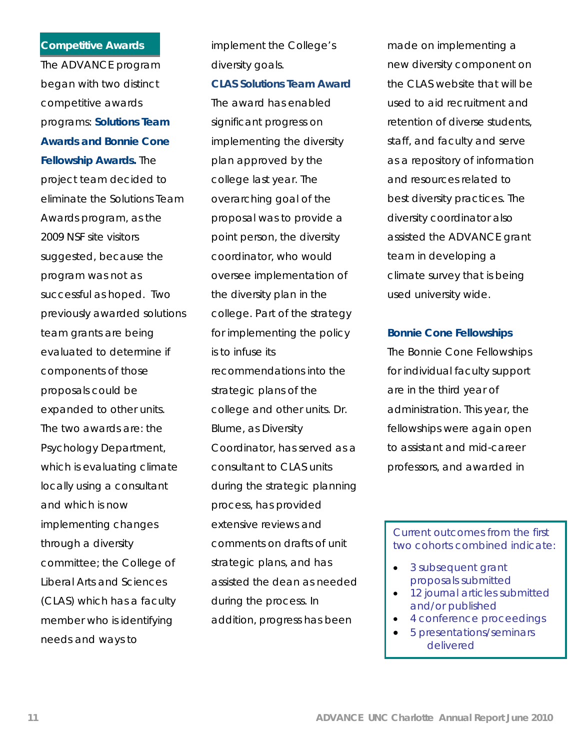#### **Competitive Awards**

The ADVANCE program began with two distinct competitive awards programs: **Solutions Team Awards and Bonnie Cone Fellowship Awards.** The project team decided to eliminate the Solutions Team Awards program, as the 2009 NSF site visitors suggested, because the program was not as successful as hoped. Two previously awarded solutions team grants are being evaluated to determine if components of those proposals could be expanded to other units. The two awards are: the Psychology Department, which is evaluating climate locally using a consultant and which is now implementing changes through a diversity committee; the College of Liberal Arts and Sciences (CLAS) which has a faculty member who is identifying needs and ways to

implement the College's diversity goals.

# **CLAS Solutions Team Award**

The award has enabled significant progress on implementing the diversity plan approved by the college last year. The overarching goal of the proposal was to provide a point person, the diversity coordinator, who would oversee implementation of the diversity plan in the college. Part of the strategy for implementing the policy is to infuse its recommendations into the strategic plans of the college and other units. Dr. Blume, as Diversity Coordinator, has served as a consultant to CLAS units during the strategic planning process, has provided extensive reviews and comments on drafts of unit strategic plans, and has assisted the dean as needed during the process. In addition, progress has been

made on implementing a new diversity component on the CLAS website that will be used to aid recruitment and retention of diverse students, staff, and faculty and serve as a repository of information and resources related to best diversity practices. The diversity coordinator also assisted the ADVANCE grant team in developing a climate survey that is being used university wide.

## **Bonnie Cone Fellowships**

The Bonnie Cone Fellowships for individual faculty support are in the third year of administration. This year, the fellowships were again open to assistant and mid-career professors, and awarded in

## Current outcomes from the first two cohorts combined indicate:

- 3 subsequent grant proposals submitted
- 12 journal articles submitted and/or published
- 4 conference proceedings
- 5 presentations/seminars delivered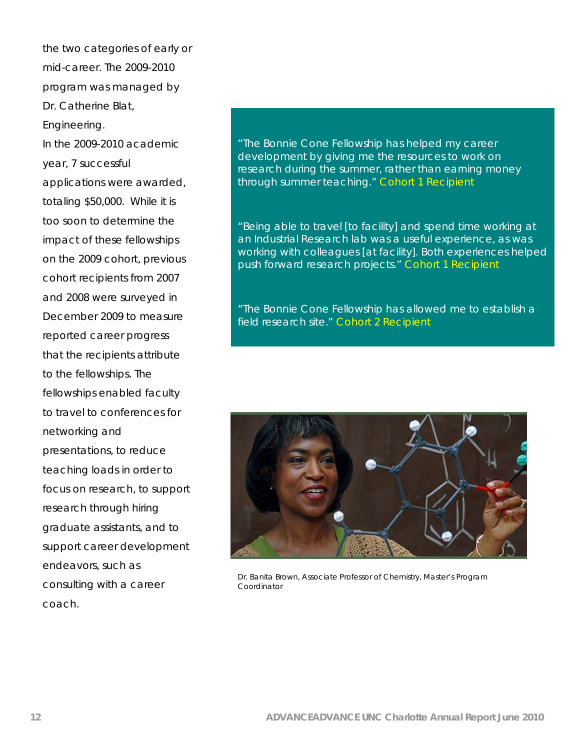the two categories of early or mid-career. The 2009-2010 program was managed by Dr. Catherine Blat, Engineering.

In the 2009-2010 academic year, 7 successful applications were awarded, totaling \$50,000. While it is too soon to determine the impact of these fellowships on the 2009 cohort, previous cohort recipients from 2007 and 2008 were surveyed in December 2009 to measure reported career progress that the recipients attribute to the fellowships. The fellowships enabled faculty to travel to conferences for networking and presentations, to reduce teaching loads in order to focus on research, to support research through hiring graduate assistants, and to support career development endeavors, such as consulting with a career coach.

# "The Bonnie Cone Fellowship has helped my career development by giving me the resources to work on research during the summer, rather than earning money through summer teaching." *Cohort 1 Recipient*

"Being able to travel [to facility] and spend time working at an Industrial Research lab was a useful experience, as was working with colleagues [at facility]. Both experiences helped push forward research projects." *Cohort 1 Recipient* 

"The Bonnie Cone Fellowship has allowed me to establish a field research site." *Cohort 2 Recipient*



Dr. Banita Brown, Associate Professor of Chemistry, Master's Program Coordinator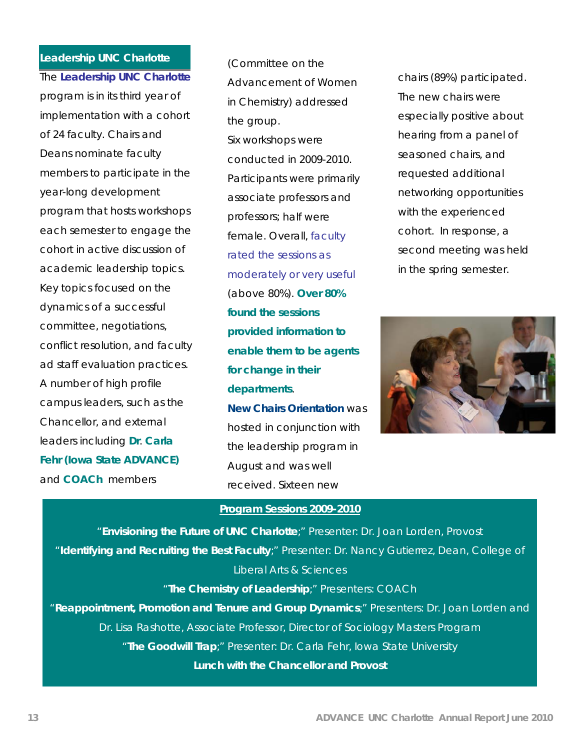# **Leadership UNC Charlotte**

The **Leadership UNC Charlotte** program is in its third year of implementation with a cohort of 24 faculty. Chairs and Deans nominate faculty members to participate in the year-long development program that hosts workshops each semester to engage the cohort in active discussion of academic leadership topics. Key topics focused on the dynamics of a successful committee, negotiations, conflict resolution, and faculty ad staff evaluation practices. A number of high profile campus leaders, such as the Chancellor, and external leaders including **Dr**. **Carla Fehr (Iowa State ADVANCE)** and **COACh** members

(Committee on the Advancement of Women in Chemistry) addressed the group. Six workshops were conducted in 2009-2010. Participants were primarily associate professors and professors; half were female. Overall, faculty rated the sessions as moderately or very useful (above 80%). **Over 80% found the sessions provided information to enable them to be agents for change in their departments**. **New Chairs Orientation** was hosted in conjunction with the leadership program in August and was well received. Sixteen new

chairs (89%) participated. The new chairs were especially positive about hearing from a panel of seasoned chairs, and requested additional networking opportunities with the experienced cohort. In response, a second meeting was held in the spring semester.



### **Program Sessions 2009-2010**

"**Envisioning the Future of UNC Charlotte**;" Presenter: Dr. Joan Lorden, Provost "**Identifying and Recruiting the Best Faculty**;" Presenter: Dr. Nancy Gutierrez, Dean, College of Liberal Arts & Sciences "**The Chemistry of Leadership**;" Presenters: COACh "**Reappointment, Promotion and Tenure and Group Dynamics**;" Presenters: Dr. Joan Lorden and Dr. Lisa Rashotte, Associate Professor, Director of Sociology Masters Program "**The Goodwill Trap**;" Presenter: Dr. Carla Fehr, Iowa State University **Lunch with the Chancellor and Provost**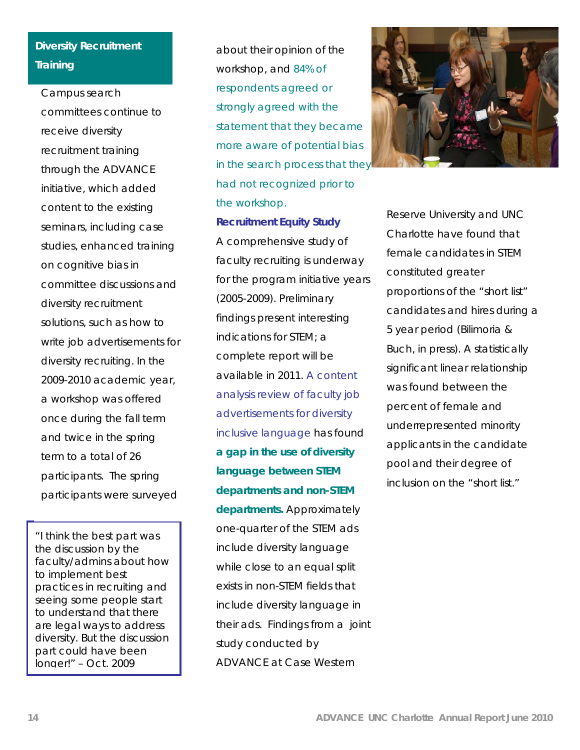# **Diversity Recruitment Training**

Campus search committees continue to receive diversity recruitment training through the ADVANCE initiative, which added content to the existing seminars, including case studies, enhanced training on cognitive bias in committee discussions and diversity recruitment solutions, such as how to write job advertisements for diversity recruiting. In the 2009-2010 academic year, a workshop was offered once during the fall term and twice in the spring term to a total of 26 participants. The spring participants were surveyed

*"I think the best part was the discussion by the faculty/admins about how to implement best practices in recruiting and seeing some people start to understand that there are legal ways to address diversity. But the discussion part could have been longer!"* – Oct. 2009

about their opinion of the workshop, and 84% of respondents agreed or strongly agreed with the statement that they became more aware of potential bias in the search process that they had not recognized prior to the workshop.

#### **Recruitment Equity Study**

A comprehensive study of faculty recruiting is underway for the program initiative years (2005-2009). Preliminary findings present interesting indications for STEM; a complete report will be available in 2011. A content analysis review of faculty job advertisements for diversity inclusive language has found **a gap in the use of diversity language between STEM departments and non-STEM departments.** Approximately one-quarter of the STEM ads include diversity language while close to an equal split exists in non-STEM fields that include diversity language in their ads. Findings from a joint study conducted by ADVANCE at Case Western



Reserve University and UNC Charlotte have found that female candidates in STEM constituted greater proportions of the "short list" candidates and hires during a 5 year period (Bilimoria & Buch, in press). A statistically significant linear relationship was found between the percent of female and underrepresented minority applicants in the candidate pool and their degree of inclusion on the "short list."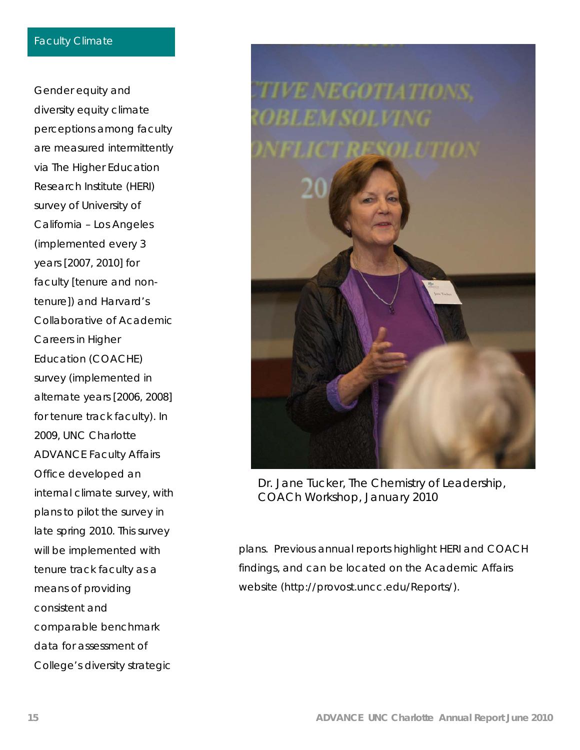Gender equity and diversity equity climate perceptions among faculty are measured intermittently via The Higher Education Research Institute (HERI) survey of University of California – Los Angeles (implemented every 3 years [2007, 2010] for faculty [tenure and nontenure]) and Harvard's Collaborative of Academic Careers in Higher Education (COACHE) survey (implemented in alternate years [2006, 2008] for tenure track faculty). In 2009, UNC Charlotte ADVANCE Faculty Affairs Office developed an internal climate survey, with plans to pilot the survey in late spring 2010. This survey will be implemented with tenure track faculty as a means of providing consistent and comparable benchmark data for assessment of College's diversity strategic



Dr. Jane Tucker, The Chemistry of Leadership, COACh Workshop, January 2010

plans. Previous annual reports highlight HERI and COACH findings, and can be located on the Academic Affairs website (http://provost.uncc.edu/Reports/).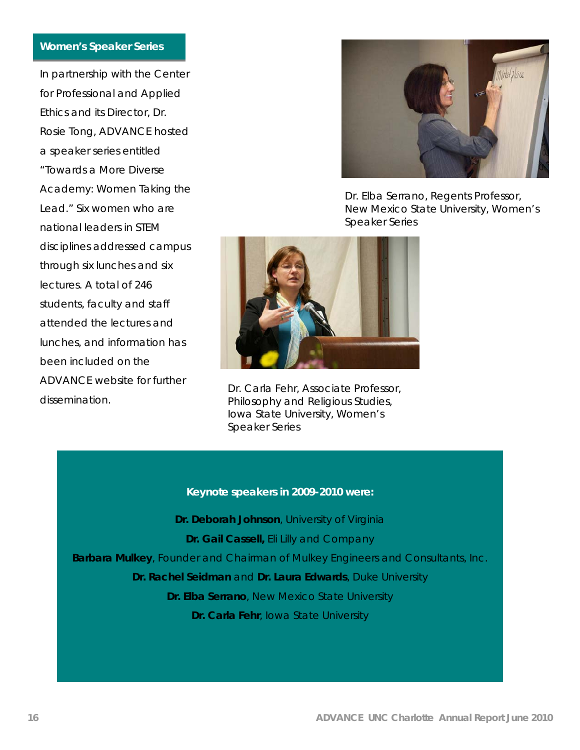#### **Women's Speaker Series**

In partnership with the Center for Professional and Applied Ethics and its Director, Dr. Rosie Tong, ADVANCE hosted a speaker series entitled "Towards a More Diverse Academy: Women Taking the Lead." Six women who are national leaders in STEM disciplines addressed campus through six lunches and six lectures. A total of 246 students, faculty and staff attended the lectures and lunches, and information has been included on the ADVANCE website for further dissemination.



Dr. Elba Serrano, Regents Professor, New Mexico State University, Women's Speaker Series



Dr. Carla Fehr, Associate Professor, Philosophy and Religious Studies, Iowa State University, Women's Speaker Series

#### **Keynote speakers in 2009-2010 were:**

**Dr. Deborah Johnson**, University of Virginia **Dr. Gail Cassell,** Eli Lilly and Company **Barbara Mulkey**, Founder and Chairman of Mulkey Engineers and Consultants, Inc. **Dr. Rachel Seidman** and **Dr. Laura Edwards**, Duke University **Dr. Elba Serrano**, New Mexico State University **Dr. Carla Fehr**, Iowa State University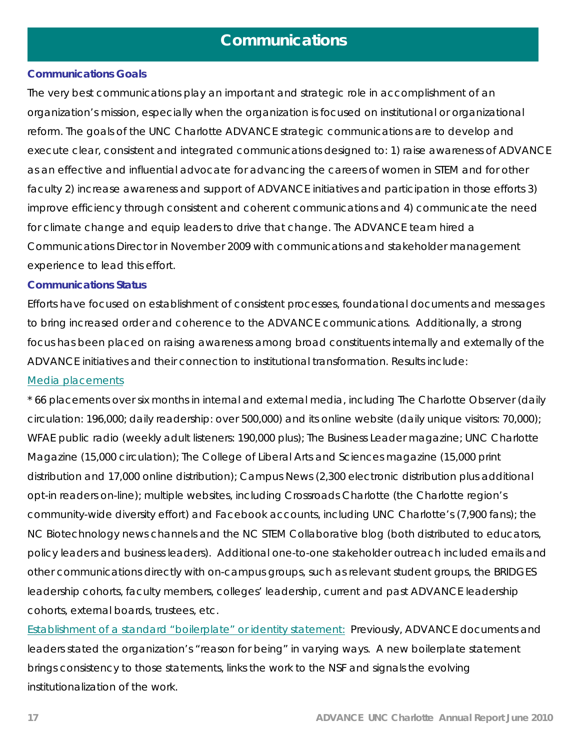# **Communications**

## **Communications Goals**

The very best communications play an important and strategic role in accomplishment of an organization's mission, especially when the organization is focused on institutional or organizational reform. The goals of the UNC Charlotte ADVANCE strategic communications are to develop and execute clear, consistent and integrated communications designed to: 1) raise awareness of ADVANCE as an effective and influential advocate for advancing the careers of women in STEM and for other faculty 2) increase awareness and support of ADVANCE initiatives and participation in those efforts 3) improve efficiency through consistent and coherent communications and 4) communicate the need for climate change and equip leaders to drive that change. The ADVANCE team hired a Communications Director in November 2009 with communications and stakeholder management experience to lead this effort.

### **Communications Status**

Efforts have focused on establishment of consistent processes, foundational documents and messages to bring increased order and coherence to the ADVANCE communications. Additionally, a strong focus has been placed on raising awareness among broad constituents internally and externally of the ADVANCE initiatives and their connection to institutional transformation. Results include: Media placements

\* 66 placements over six months in internal and external media, including The Charlotte Observer (daily circulation: 196,000; daily readership: over 500,000) and its online website (daily unique visitors: 70,000); WFAE public radio (weekly adult listeners: 190,000 plus); The Business Leader magazine; UNC Charlotte Magazine (15,000 circulation); The College of Liberal Arts and Sciences magazine (15,000 print distribution and 17,000 online distribution); Campus News (2,300 electronic distribution plus additional opt-in readers on-line); multiple websites, including Crossroads Charlotte (the Charlotte region's community-wide diversity effort) and Facebook accounts, including UNC Charlotte's (7,900 fans); the NC Biotechnology news channels and the NC STEM Collaborative blog (both distributed to educators, policy leaders and business leaders). Additional one-to-one stakeholder outreach included emails and other communications directly with on-campus groups, such as relevant student groups, the BRIDGES leadership cohorts, faculty members, colleges' leadership, current and past ADVANCE leadership cohorts, external boards, trustees, etc.

Establishment of a standard "boilerplate" or identity statement: Previously, ADVANCE documents and leaders stated the organization's "reason for being" in varying ways. A new boilerplate statement brings consistency to those statements, links the work to the NSF and signals the evolving institutionalization of the work.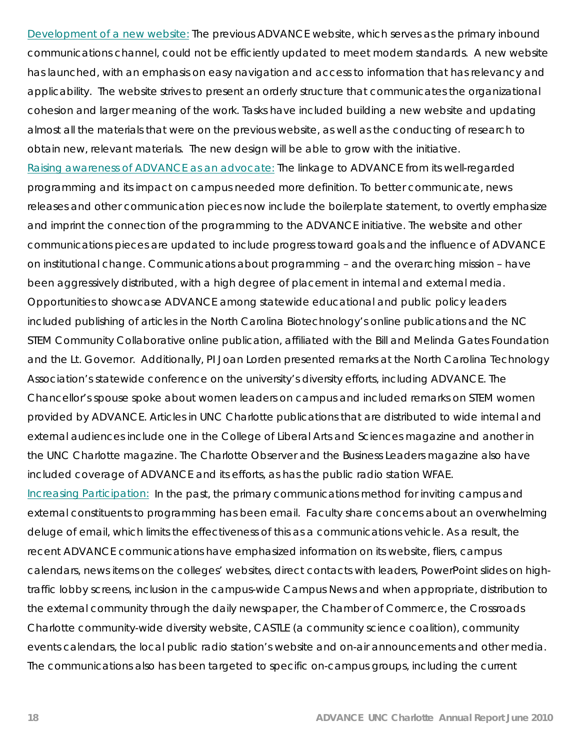Development of a new website: The previous ADVANCE website, which serves as the primary inbound communications channel, could not be efficiently updated to meet modern standards. A new website has launched, with an emphasis on easy navigation and access to information that has relevancy and applicability. The website strives to present an orderly structure that communicates the organizational cohesion and larger meaning of the work. Tasks have included building a new website and updating almost all the materials that were on the previous website, as well as the conducting of research to obtain new, relevant materials. The new design will be able to grow with the initiative. Raising awareness of ADVANCE as an advocate: The linkage to ADVANCE from its well-regarded programming and its impact on campus needed more definition. To better communicate, news releases and other communication pieces now include the boilerplate statement, to overtly emphasize and imprint the connection of the programming to the ADVANCE initiative. The website and other communications pieces are updated to include progress toward goals and the influence of ADVANCE on institutional change. Communications about programming – and the overarching mission – have been aggressively distributed, with a high degree of placement in internal and external media. Opportunities to showcase ADVANCE among statewide educational and public policy leaders included publishing of articles in the North Carolina Biotechnology's online publications and the NC STEM Community Collaborative online publication, affiliated with the Bill and Melinda Gates Foundation and the Lt. Governor. Additionally, PI Joan Lorden presented remarks at the North Carolina Technology Association's statewide conference on the university's diversity efforts, including ADVANCE. The Chancellor's spouse spoke about women leaders on campus and included remarks on STEM women provided by ADVANCE. Articles in UNC Charlotte publications that are distributed to wide internal and external audiences include one in the College of Liberal Arts and Sciences magazine and another in the UNC Charlotte magazine. The Charlotte Observer and the Business Leaders magazine also have included coverage of ADVANCE and its efforts, as has the public radio station WFAE. Increasing Participation: In the past, the primary communications method for inviting campus and external constituents to programming has been email. Faculty share concerns about an overwhelming deluge of email, which limits the effectiveness of this as a communications vehicle. As a result, the recent ADVANCE communications have emphasized information on its website, fliers, campus calendars, news items on the colleges' websites, direct contacts with leaders, PowerPoint slides on hightraffic lobby screens, inclusion in the campus-wide Campus News and when appropriate, distribution to the external community through the daily newspaper, the Chamber of Commerce, the Crossroads Charlotte community-wide diversity website, CASTLE (a community science coalition), community events calendars, the local public radio station's website and on-air announcements and other media. The communications also has been targeted to specific on-campus groups, including the current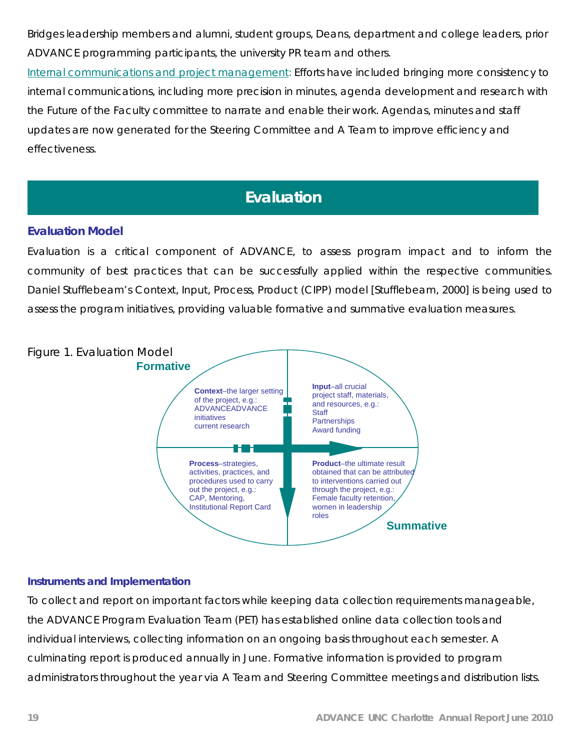Bridges leadership members and alumni, student groups, Deans, department and college leaders, prior ADVANCE programming participants, the university PR team and others.

Internal communications and project management: Efforts have included bringing more consistency to internal communications, including more precision in minutes, agenda development and research with the Future of the Faculty committee to narrate and enable their work. Agendas, minutes and staff updates are now generated for the Steering Committee and A Team to improve efficiency and effectiveness.

# **Evaluation**

# **Evaluation Model**

Evaluation is a critical component of ADVANCE, to assess program impact and to inform the community of best practices that can be successfully applied within the respective communities. Daniel Stufflebeam's Context, Input, Process, Product (CIPP) model [Stufflebeam, 2000] is being used to assess the program initiatives, providing valuable formative and summative evaluation measures.



## **Instruments and Implementation**

To collect and report on important factors while keeping data collection requirements manageable, the ADVANCE Program Evaluation Team (PET) has established online data collection tools and individual interviews, collecting information on an ongoing basis throughout each semester. A culminating report is produced annually in June. Formative information is provided to program administrators throughout the year via A Team and Steering Committee meetings and distribution lists.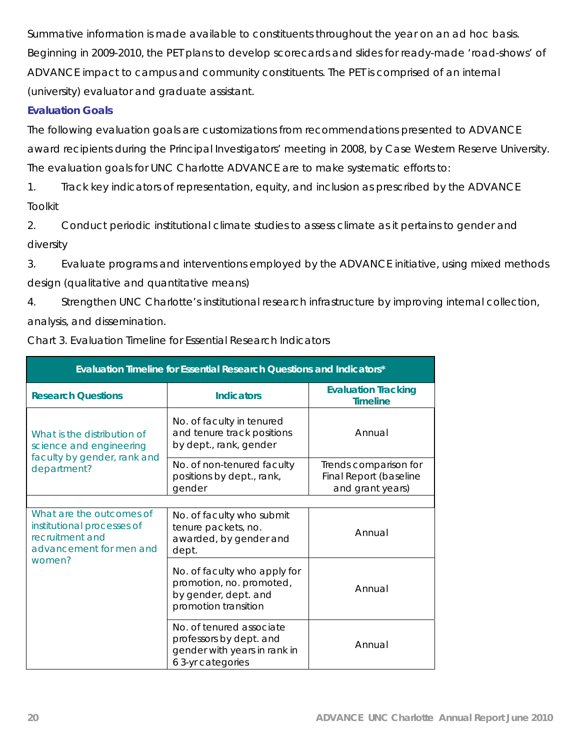Summative information is made available to constituents throughout the year on an ad hoc basis. Beginning in 2009-2010, the PET plans to develop scorecards and slides for ready-made 'road-shows' of ADVANCE impact to campus and community constituents. The PET is comprised of an internal (university) evaluator and graduate assistant.

# **Evaluation Goals**

The following evaluation goals are customizations from recommendations presented to ADVANCE award recipients during the Principal Investigators' meeting in 2008, by Case Western Reserve University. The evaluation goals for UNC Charlotte ADVANCE are to make systematic efforts to:

1. Track key indicators of representation, equity, and inclusion as prescribed by the ADVANCE Toolkit

2. Conduct periodic institutional climate studies to assess climate as it pertains to gender and diversity

3. Evaluate programs and interventions employed by the ADVANCE initiative, using mixed methods design (qualitative and quantitative means)

4. Strengthen UNC Charlotte's institutional research infrastructure by improving internal collection, analysis, and dissemination.

| Evaluation Timeline for Essential Research Questions and Indicators*                                 |                                                                                                          |                                                                     |  |  |  |
|------------------------------------------------------------------------------------------------------|----------------------------------------------------------------------------------------------------------|---------------------------------------------------------------------|--|--|--|
| <b>Research Questions</b>                                                                            | <b>Indicators</b>                                                                                        | <b>Evaluation Tracking</b><br><b>Timeline</b>                       |  |  |  |
| What is the distribution of<br>science and engineering                                               | No. of faculty in tenured<br>and tenure track positions<br>by dept., rank, gender                        | Annual                                                              |  |  |  |
| faculty by gender, rank and<br>department?                                                           | No. of non-tenured faculty<br>positions by dept., rank,<br>gender                                        | Trends comparison for<br>Final Report (baseline<br>and grant years) |  |  |  |
|                                                                                                      |                                                                                                          |                                                                     |  |  |  |
| What are the outcomes of<br>institutional processes of<br>recruitment and<br>advancement for men and | No. of faculty who submit<br>tenure packets, no.<br>awarded, by gender and<br>dept.                      | Annual                                                              |  |  |  |
| women?                                                                                               | No. of faculty who apply for<br>promotion, no. promoted,<br>by gender, dept. and<br>promotion transition | Annual                                                              |  |  |  |
|                                                                                                      | No. of tenured associate<br>professors by dept. and<br>gender with years in rank in<br>6 3-yr categories | Annual                                                              |  |  |  |

Chart 3. Evaluation Timeline for Essential Research Indicators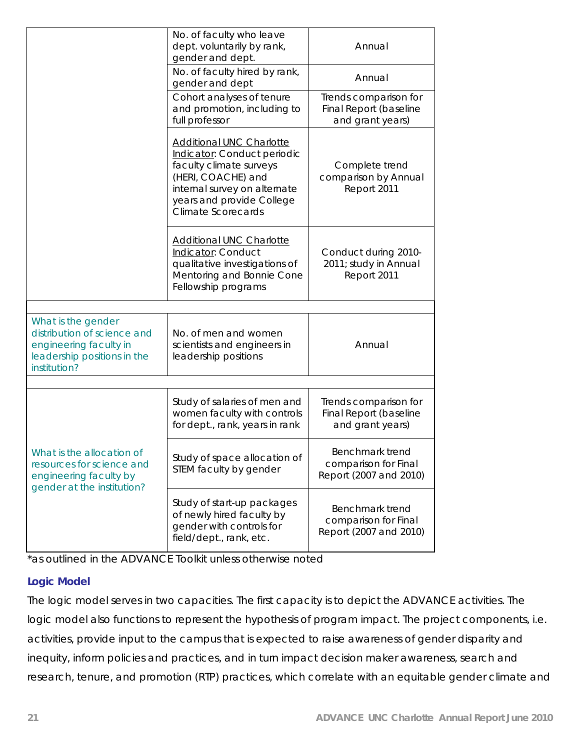|                                                                                                                            | No. of faculty who leave<br>dept. voluntarily by rank,<br>gender and dept.                                                                                                                                | Annual                                                              |
|----------------------------------------------------------------------------------------------------------------------------|-----------------------------------------------------------------------------------------------------------------------------------------------------------------------------------------------------------|---------------------------------------------------------------------|
|                                                                                                                            | No. of faculty hired by rank,<br>gender and dept                                                                                                                                                          | Annual                                                              |
|                                                                                                                            | Cohort analyses of tenure<br>and promotion, including to<br>full professor                                                                                                                                | Trends comparison for<br>Final Report (baseline<br>and grant years) |
|                                                                                                                            | <b>Additional UNC Charlotte</b><br>Indicator: Conduct periodic<br>faculty climate surveys<br>(HERI, COACHE) and<br>internal survey on alternate<br>years and provide College<br><b>Climate Scorecards</b> | Complete trend<br>comparison by Annual<br>Report 2011               |
|                                                                                                                            | <b>Additional UNC Charlotte</b><br>Indicator: Conduct<br>qualitative investigations of<br>Mentoring and Bonnie Cone<br>Fellowship programs                                                                | Conduct during 2010-<br>2011; study in Annual<br>Report 2011        |
|                                                                                                                            |                                                                                                                                                                                                           |                                                                     |
| What is the gender<br>distribution of science and<br>engineering faculty in<br>leadership positions in the<br>institution? | No. of men and women<br>scientists and engineers in<br>leadership positions                                                                                                                               | Annual                                                              |
|                                                                                                                            |                                                                                                                                                                                                           |                                                                     |
|                                                                                                                            | Study of salaries of men and<br>women faculty with controls<br>for dept., rank, years in rank                                                                                                             | Trends comparison for<br>Final Report (baseline<br>and grant years) |
| What is the allocation of<br>resources for science and<br>engineering faculty by<br>gender at the institution?             | Study of space allocation of<br>STEM faculty by gender                                                                                                                                                    | Benchmark trend<br>comparison for Final<br>Report (2007 and 2010)   |
|                                                                                                                            | Study of start-up packages<br>of newly hired faculty by<br>gender with controls for<br>field/dept., rank, etc.                                                                                            | Benchmark trend<br>comparison for Final<br>Report (2007 and 2010)   |

\*as outlined in the ADVANCE Toolkit unless otherwise noted

# **Logic Model**

The logic model serves in two capacities. The first capacity is to depict the ADVANCE activities. The logic model also functions to represent the hypothesis of program impact. The project components, i.e. activities, provide input to the campus that is expected to raise awareness of gender disparity and inequity, inform policies and practices, and in turn impact decision maker awareness, search and research, tenure, and promotion (RTP) practices, which correlate with an equitable gender climate and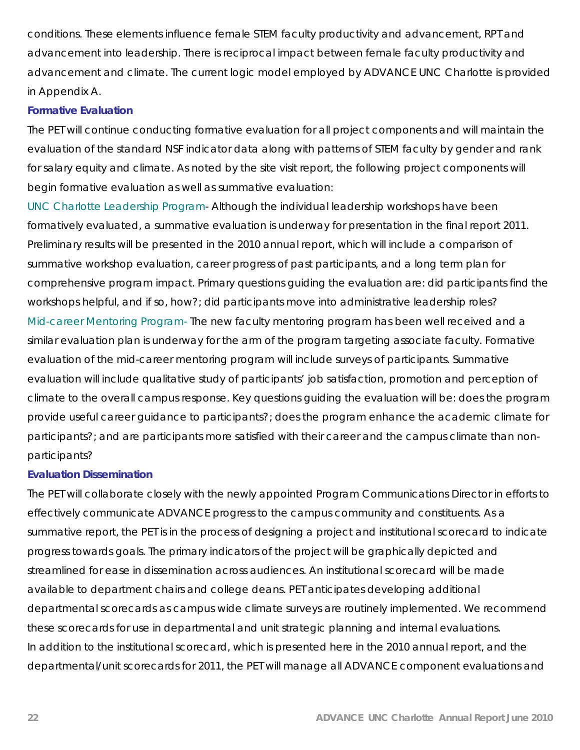conditions. These elements influence female STEM faculty productivity and advancement, RPT and advancement into leadership. There is reciprocal impact between female faculty productivity and advancement and climate. The current logic model employed by ADVANCE UNC Charlotte is provided in Appendix A.

### **Formative Evaluation**

The PET will continue conducting formative evaluation for all project components and will maintain the evaluation of the standard NSF indicator data along with patterns of STEM faculty by gender and rank for salary equity and climate. As noted by the site visit report, the following project components will begin formative evaluation as well as summative evaluation:

UNC Charlotte Leadership Program- Although the individual leadership workshops have been formatively evaluated, a summative evaluation is underway for presentation in the final report 2011. Preliminary results will be presented in the 2010 annual report, which will include a comparison of summative workshop evaluation, career progress of past participants, and a long term plan for comprehensive program impact. Primary questions guiding the evaluation are: did participants find the workshops helpful, and if so, how?; did participants move into administrative leadership roles? Mid-career Mentoring Program- The new faculty mentoring program has been well received and a similar evaluation plan is underway for the arm of the program targeting associate faculty. Formative evaluation of the mid-career mentoring program will include surveys of participants. Summative evaluation will include qualitative study of participants' job satisfaction, promotion and perception of climate to the overall campus response. Key questions guiding the evaluation will be: does the program provide useful career guidance to participants?; does the program enhance the academic climate for participants?; and are participants more satisfied with their career and the campus climate than nonparticipants?

## **Evaluation Dissemination**

The PET will collaborate closely with the newly appointed Program Communications Director in efforts to effectively communicate ADVANCE progress to the campus community and constituents. As a summative report, the PET is in the process of designing a project and institutional scorecard to indicate progress towards goals. The primary indicators of the project will be graphically depicted and streamlined for ease in dissemination across audiences. An institutional scorecard will be made available to department chairs and college deans. PET anticipates developing additional departmental scorecards as campus wide climate surveys are routinely implemented. We recommend these scorecards for use in departmental and unit strategic planning and internal evaluations. In addition to the institutional scorecard, which is presented here in the 2010 annual report, and the departmental/unit scorecards for 2011, the PET will manage all ADVANCE component evaluations and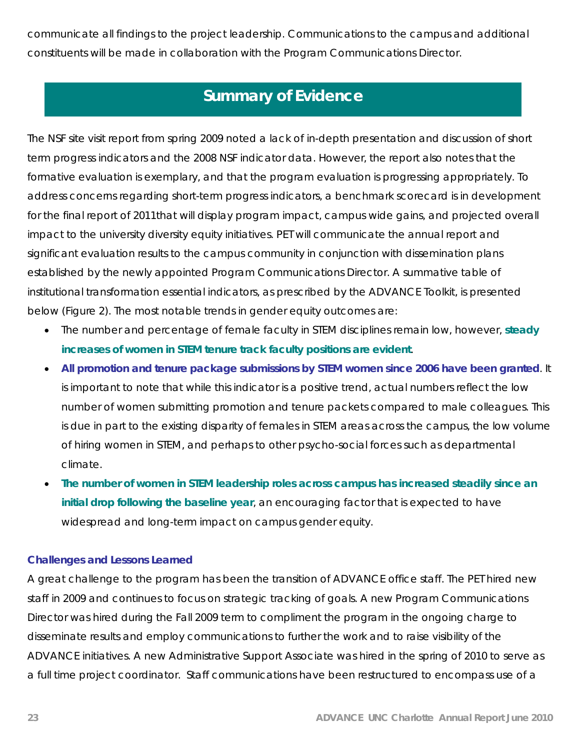communicate all findings to the project leadership. Communications to the campus and additional constituents will be made in collaboration with the Program Communications Director.

# **Summary of Evidence**

The NSF site visit report from spring 2009 noted a lack of in-depth presentation and discussion of short term progress indicators and the 2008 NSF indicator data. However, the report also notes that the formative evaluation is exemplary, and that the program evaluation is progressing appropriately. To address concerns regarding short-term progress indicators, a benchmark scorecard is in development for the final report of 2011that will display program impact, campus wide gains, and projected overall impact to the university diversity equity initiatives. PET will communicate the annual report and significant evaluation results to the campus community in conjunction with dissemination plans established by the newly appointed Program Communications Director. A summative table of institutional transformation essential indicators, as prescribed by the ADVANCE Toolkit, is presented below (Figure 2). The most notable trends in gender equity outcomes are:

- The number and percentage of female faculty in STEM disciplines remain low, however, **steady increases of women in STEM tenure track faculty positions are evident**.
- **All promotion and tenure package submissions by STEM women since 2006 have been granted**. It is important to note that while this indicator is a positive trend, actual numbers reflect the low number of women submitting promotion and tenure packets compared to male colleagues. This is due in part to the existing disparity of females in STEM areas across the campus, the low volume of hiring women in STEM, and perhaps to other psycho-social forces such as departmental climate.
- **The number of women in STEM leadership roles across campus has increased steadily since an initial drop following the baseline year**, an encouraging factor that is expected to have widespread and long-term impact on campus gender equity.

# **Challenges and Lessons Learned**

A great challenge to the program has been the transition of ADVANCE office staff. The PET hired new staff in 2009 and continues to focus on strategic tracking of goals. A new Program Communications Director was hired during the Fall 2009 term to compliment the program in the ongoing charge to disseminate results and employ communications to further the work and to raise visibility of the ADVANCE initiatives. A new Administrative Support Associate was hired in the spring of 2010 to serve as a full time project coordinator. Staff communications have been restructured to encompass use of a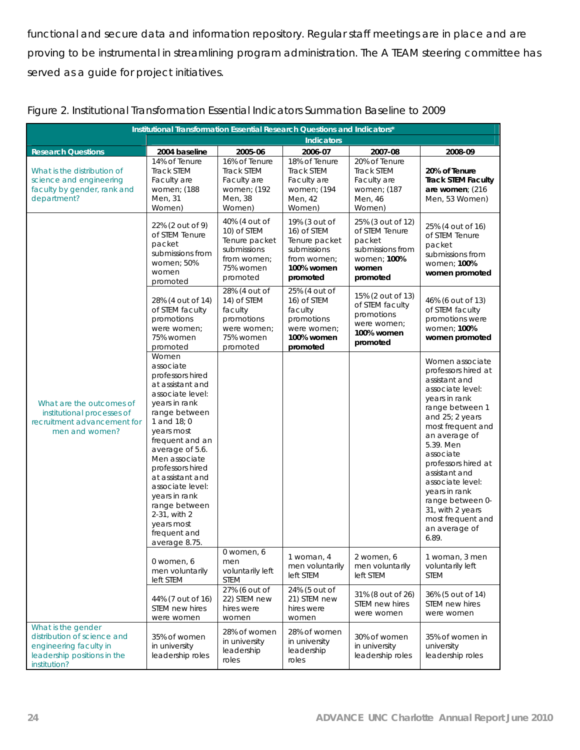functional and secure data and information repository. Regular staff meetings are in place and are proving to be instrumental in streamlining program administration. The A TEAM steering committee has served as a guide for project initiatives.

| Institutional Transformation Essential Research Questions and Indicators*                                                  |                                                                                                                                                                                                                                                                                                                                                                    |                                                                                                      |                                                                                                       |                                                                                                       |                                                                                                                                                                                                                                                                                                                                                                        |
|----------------------------------------------------------------------------------------------------------------------------|--------------------------------------------------------------------------------------------------------------------------------------------------------------------------------------------------------------------------------------------------------------------------------------------------------------------------------------------------------------------|------------------------------------------------------------------------------------------------------|-------------------------------------------------------------------------------------------------------|-------------------------------------------------------------------------------------------------------|------------------------------------------------------------------------------------------------------------------------------------------------------------------------------------------------------------------------------------------------------------------------------------------------------------------------------------------------------------------------|
|                                                                                                                            |                                                                                                                                                                                                                                                                                                                                                                    |                                                                                                      | <b>Indicators</b>                                                                                     |                                                                                                       |                                                                                                                                                                                                                                                                                                                                                                        |
| <b>Research Questions</b>                                                                                                  | 2004 baseline                                                                                                                                                                                                                                                                                                                                                      | 2005-06                                                                                              | 2006-07                                                                                               | 2007-08                                                                                               | 2008-09                                                                                                                                                                                                                                                                                                                                                                |
| What is the distribution of<br>science and engineering<br>faculty by gender, rank and<br>department?                       | 14% of Tenure<br><b>Track STEM</b><br>Faculty are<br>women; (188<br>Men, 31<br>Women)                                                                                                                                                                                                                                                                              | 16% of Tenure<br><b>Track STEM</b><br>Faculty are<br>women; (192<br>Men, 38<br>Women)                | 18% of Tenure<br><b>Track STEM</b><br>Faculty are<br>women; (194<br>Men, 42<br>Women)                 | 20% of Tenure<br>Track STEM<br>Faculty are<br>women; (187<br>Men, 46<br>Women)                        | 20% of Tenure<br><b>Track STEM Faculty</b><br>are women; (216<br>Men, 53 Women)                                                                                                                                                                                                                                                                                        |
| What are the outcomes of<br>institutional processes of<br>recruitment advancement for<br>men and women?                    | 22% (2 out of 9)<br>of STEM Tenure<br>packet<br>submissions from<br>women: 50%<br>women<br>promoted                                                                                                                                                                                                                                                                | 40% (4 out of<br>10) of STEM<br>Tenure packet<br>submissions<br>from women;<br>75% women<br>promoted | 19% (3 out of<br>16) of STEM<br>Tenure packet<br>submissions<br>from women;<br>100% women<br>promoted | 25% (3 out of 12)<br>of STEM Tenure<br>packet<br>submissions from<br>women; 100%<br>women<br>promoted | 25% (4 out of 16)<br>of STEM Tenure<br>packet<br>submissions from<br>women; 100%<br>women promoted                                                                                                                                                                                                                                                                     |
|                                                                                                                            | 28% (4 out of 14)<br>of STEM faculty<br>promotions<br>were women;<br>75% women<br>promoted                                                                                                                                                                                                                                                                         | 28% (4 out of<br>14) of STEM<br>faculty<br>promotions<br>were women;<br>75% women<br>promoted        | 25% (4 out of<br>16) of STEM<br>faculty<br>promotions<br>were women;<br>100% women<br>promoted        | 15% (2 out of 13)<br>of STEM faculty<br>promotions<br>were women:<br>100% women<br>promoted           | 46% (6 out of 13)<br>of STEM faculty<br>promotions were<br>women: 100%<br>women promoted                                                                                                                                                                                                                                                                               |
|                                                                                                                            | Women<br>associate<br>professors hired<br>at assistant and<br>associate level:<br>years in rank<br>range between<br>1 and $18;0$<br>years most<br>frequent and an<br>average of 5.6.<br>Men associate<br>professors hired<br>at assistant and<br>associate level:<br>years in rank<br>range between<br>2-31, with 2<br>years most<br>frequent and<br>average 8.75. |                                                                                                      |                                                                                                       |                                                                                                       | Women associate<br>professors hired at<br>assistant and<br>associate level:<br>years in rank<br>range between 1<br>and 25; 2 years<br>most frequent and<br>an average of<br>5.39. Men<br>associate<br>professors hired at<br>assistant and<br>associate level:<br>years in rank<br>range between 0-<br>31, with 2 years<br>most frequent and<br>an average of<br>6.89. |
|                                                                                                                            | 0 women, 6<br>men voluntarily<br>left STEM                                                                                                                                                                                                                                                                                                                         | 0 women, 6<br>men<br>voluntarily left<br>STEM                                                        | 1 woman, 4<br>men voluntarily<br>left STEM                                                            | 2 women, 6<br>men voluntarily<br>left STEM                                                            | 1 woman, 3 men<br>voluntarily left<br>STEM                                                                                                                                                                                                                                                                                                                             |
|                                                                                                                            | 44% (7 out of 16)<br>STEM new hires<br>were women                                                                                                                                                                                                                                                                                                                  | 27% (6 out of<br>22) STEM new<br>hires were<br>women                                                 | 24% (5 out of<br>21) STEM new<br>hires were<br>women                                                  | 31% (8 out of 26)<br>STEM new hires<br>were women                                                     | 36% (5 out of 14)<br>STEM new hires<br>were women                                                                                                                                                                                                                                                                                                                      |
| What is the gender<br>distribution of science and<br>engineering faculty in<br>leadership positions in the<br>institution? | 35% of women<br>in university<br>leadership roles                                                                                                                                                                                                                                                                                                                  | 28% of women<br>in university<br>leadership<br>roles                                                 | 28% of women<br>in university<br>leadership<br>roles                                                  | 30% of women<br>in university<br>leadership roles                                                     | 35% of women in<br>university<br>leadership roles                                                                                                                                                                                                                                                                                                                      |

|  | Figure 2. Institutional Transformation Essential Indicators Summation Baseline to 2009 |  |  |  |
|--|----------------------------------------------------------------------------------------|--|--|--|
|  |                                                                                        |  |  |  |
|  |                                                                                        |  |  |  |
|  |                                                                                        |  |  |  |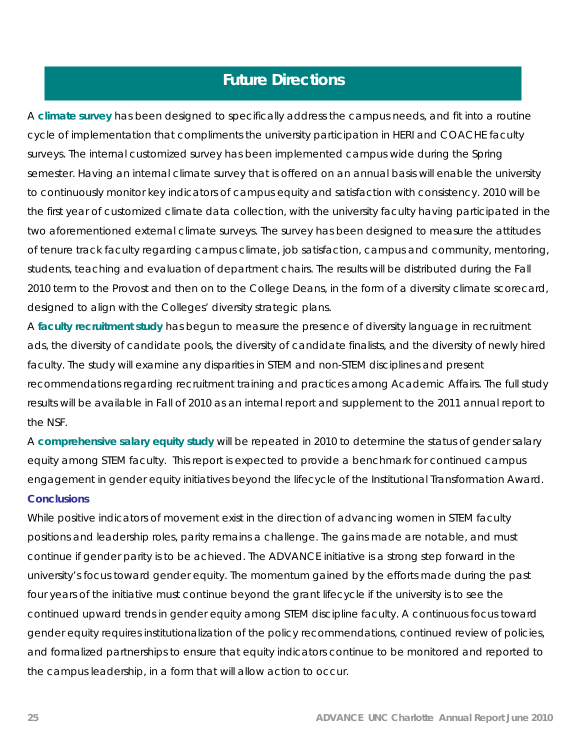# **Future Directions**

A **climate survey** has been designed to specifically address the campus needs, and fit into a routine cycle of implementation that compliments the university participation in HERI and COACHE faculty surveys. The internal customized survey has been implemented campus wide during the Spring semester. Having an internal climate survey that is offered on an annual basis will enable the university to continuously monitor key indicators of campus equity and satisfaction with consistency. 2010 will be the first year of customized climate data collection, with the university faculty having participated in the two aforementioned external climate surveys. The survey has been designed to measure the attitudes of tenure track faculty regarding campus climate, job satisfaction, campus and community, mentoring, students, teaching and evaluation of department chairs. The results will be distributed during the Fall 2010 term to the Provost and then on to the College Deans, in the form of a diversity climate scorecard, designed to align with the Colleges' diversity strategic plans.

A **faculty recruitment study** has begun to measure the presence of diversity language in recruitment ads, the diversity of candidate pools, the diversity of candidate finalists, and the diversity of newly hired faculty. The study will examine any disparities in STEM and non-STEM disciplines and present recommendations regarding recruitment training and practices among Academic Affairs. The full study results will be available in Fall of 2010 as an internal report and supplement to the 2011 annual report to the NSF.

A **comprehensive salary equity study** will be repeated in 2010 to determine the status of gender salary equity among STEM faculty. This report is expected to provide a benchmark for continued campus engagement in gender equity initiatives beyond the lifecycle of the Institutional Transformation Award. **Conclusions** 

While positive indicators of movement exist in the direction of advancing women in STEM faculty positions and leadership roles, parity remains a challenge. The gains made are notable, and must continue if gender parity is to be achieved. The ADVANCE initiative is a strong step forward in the university's focus toward gender equity. The momentum gained by the efforts made during the past four years of the initiative must continue beyond the grant lifecycle if the university is to see the continued upward trends in gender equity among STEM discipline faculty. A continuous focus toward gender equity requires institutionalization of the policy recommendations, continued review of policies, and formalized partnerships to ensure that equity indicators continue to be monitored and reported to the campus leadership, in a form that will allow action to occur.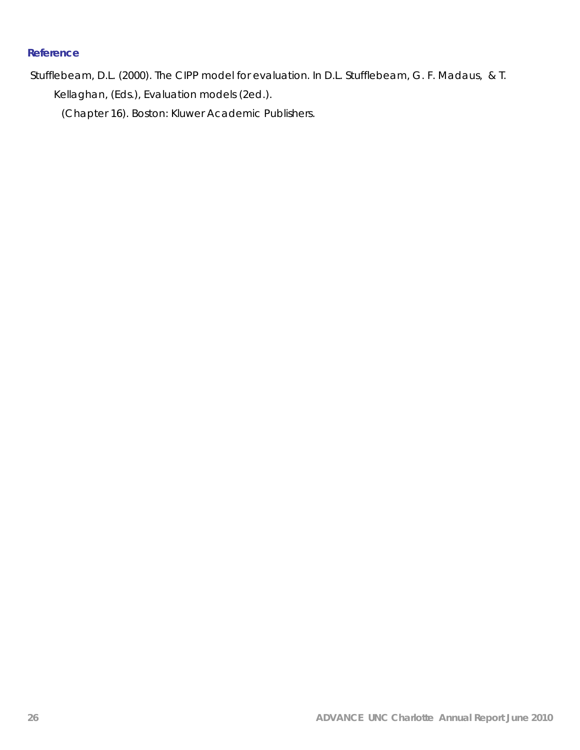# **Reference**

 Stufflebeam, D.L. (2000). The CIPP model for evaluation. In D.L. Stufflebeam, G. F. Madaus, & T. Kellaghan, (Eds.), *Evaluation models* (2ed.).

(Chapter 16). Boston: Kluwer Academic Publishers.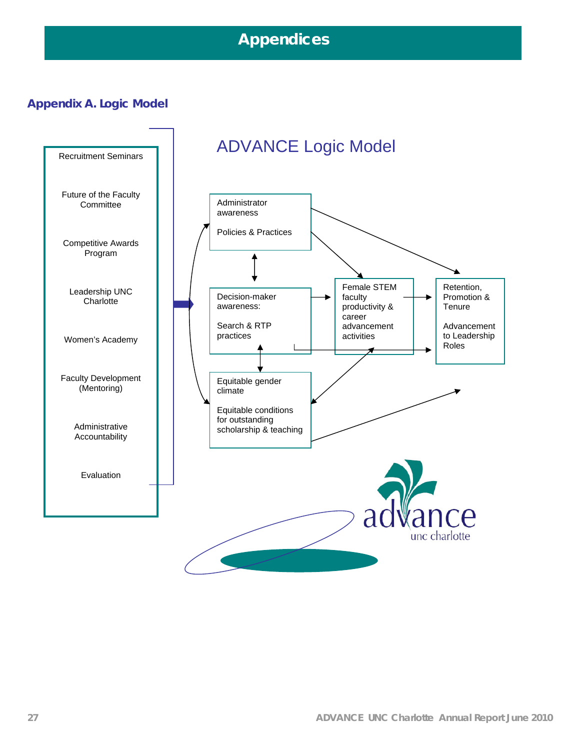# **Appendices**

# **Appendix A. Logic Model**

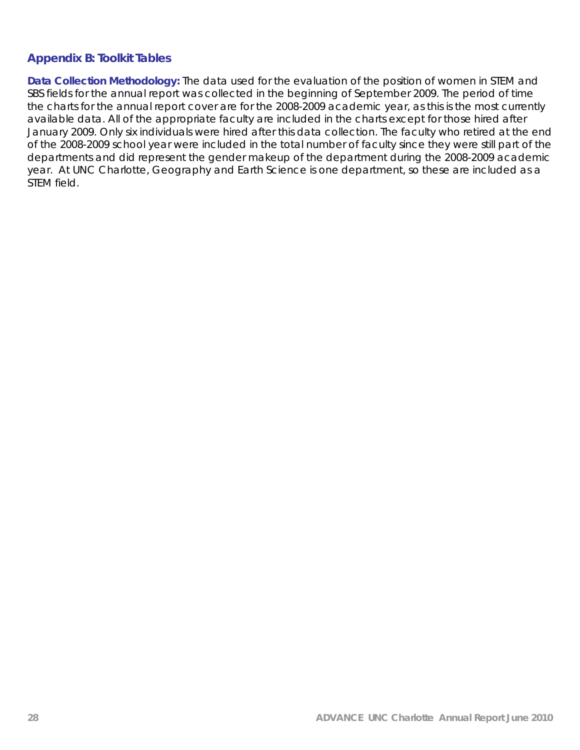# **Appendix B: Toolkit Tables**

**Data Collection Methodology:** The data used for the evaluation of the position of women in STEM and SBS fields for the annual report was collected in the beginning of September 2009. The period of time the charts for the annual report cover are for the 2008-2009 academic year, as this is the most currently available data. All of the appropriate faculty are included in the charts except for those hired after January 2009. Only six individuals were hired after this data collection. The faculty who retired at the end of the 2008-2009 school year were included in the total number of faculty since they were still part of the departments and did represent the gender makeup of the department during the 2008-2009 academic year. At UNC Charlotte, Geography and Earth Science is one department, so these are included as a STEM field.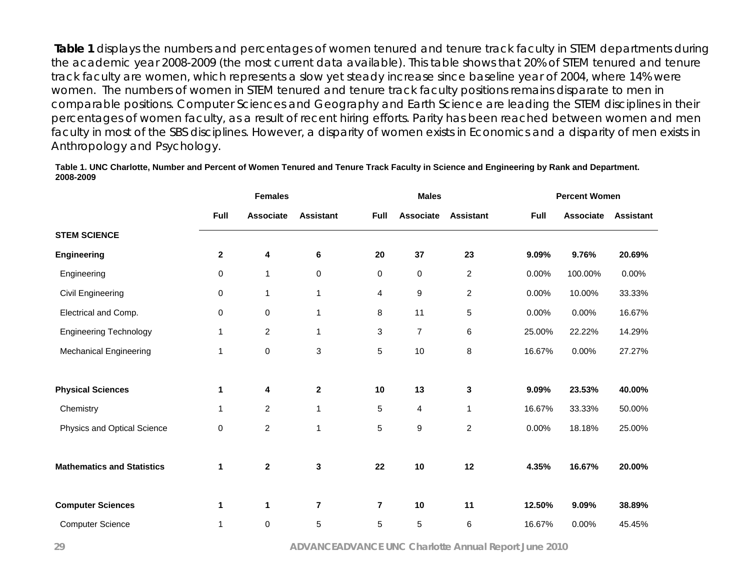**Table 1** displays the numbers and percentages of women tenured and tenure track faculty in STEM departments during the academic year 2008-2009 (the most current data available). This table shows that 20% of STEM tenured and tenure track faculty are women, which represents a slow yet steady increase since baseline year of 2004, where 14% were women. The numbers of women in STEM tenured and tenure track faculty positions remains disparate to men in comparable positions. Computer Sciences and Geography and Earth Science are leading the STEM disciplines in their percentages of women faculty, as a result of recent hiring efforts. Parity has been reached between women and men faculty in most of the SBS disciplines. However, a disparity of women exists in Economics and a disparity of men exists in Anthropology and Psychology.

#### **Table 1. UNC Charlotte, Number and Percent of Women Tenured and Tenure Track Faculty in Science and Engineering by Rank and Department. 2008-2009**

|                                   | <b>Females</b> |                  |                  |                         | <b>Males</b>     |                  |             | <b>Percent Women</b> |                  |  |
|-----------------------------------|----------------|------------------|------------------|-------------------------|------------------|------------------|-------------|----------------------|------------------|--|
|                                   | Full           | <b>Associate</b> | <b>Assistant</b> | Full                    | <b>Associate</b> | <b>Assistant</b> | <b>Full</b> | <b>Associate</b>     | <b>Assistant</b> |  |
| <b>STEM SCIENCE</b>               |                |                  |                  |                         |                  |                  |             |                      |                  |  |
| <b>Engineering</b>                | $\mathbf{2}$   | 4                | 6                | 20                      | 37               | 23               | 9.09%       | 9.76%                | 20.69%           |  |
| Engineering                       | 0              | 1                | 0                | $\mathbf 0$             | $\mathbf 0$      | $\overline{c}$   | 0.00%       | 100.00%              | 0.00%            |  |
| Civil Engineering                 | 0              | 1                | 1                | 4                       | 9                | $\overline{c}$   | 0.00%       | 10.00%               | 33.33%           |  |
| Electrical and Comp.              | 0              | $\pmb{0}$        | $\mathbf{1}$     | 8                       | 11               | 5                | 0.00%       | 0.00%                | 16.67%           |  |
| <b>Engineering Technology</b>     | 1              | $\overline{c}$   | 1                | 3                       | $\overline{7}$   | 6                | 25.00%      | 22.22%               | 14.29%           |  |
| <b>Mechanical Engineering</b>     | $\mathbf 1$    | $\mathbf 0$      | 3                | 5                       | 10               | 8                | 16.67%      | 0.00%                | 27.27%           |  |
| <b>Physical Sciences</b>          | 1              | 4                | $\mathbf 2$      | 10                      | 13               | 3                | 9.09%       | 23.53%               | 40.00%           |  |
| Chemistry                         | 1              | $\overline{c}$   | 1                | 5                       | $\overline{4}$   | 1                | 16.67%      | 33.33%               | 50.00%           |  |
| Physics and Optical Science       | 0              | $\overline{c}$   | 1                | 5                       | 9                | $\overline{c}$   | 0.00%       | 18.18%               | 25.00%           |  |
| <b>Mathematics and Statistics</b> | 1              | $\mathbf{2}$     | 3                | 22                      | 10               | 12               | 4.35%       | 16.67%               | 20.00%           |  |
| <b>Computer Sciences</b>          | 1              | 1                | 7                | $\overline{\mathbf{r}}$ | 10               | 11               | 12.50%      | 9.09%                | 38.89%           |  |
| <b>Computer Science</b>           | 1              | 0                | 5                | 5                       | 5                | 6                | 16.67%      | 0.00%                | 45.45%           |  |

 **29 ADVANCEADVANCE UNC Charlotte Annual Report June 2010**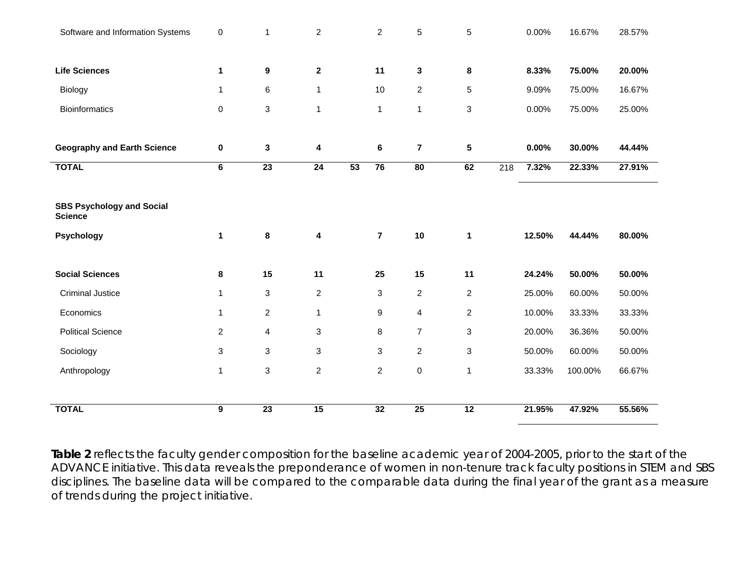| Software and Information Systems                   | 0              | 1                         | $\overline{c}$  |                 | $\overline{c}$            | 5                       | 5               |     | 0.00%  | 16.67%  | 28.57% |
|----------------------------------------------------|----------------|---------------------------|-----------------|-----------------|---------------------------|-------------------------|-----------------|-----|--------|---------|--------|
|                                                    |                |                           |                 |                 |                           |                         |                 |     |        |         |        |
| <b>Life Sciences</b>                               | 1              | 9                         | $\mathbf{2}$    |                 | 11                        | $\mathbf{3}$            | 8               |     | 8.33%  | 75.00%  | 20.00% |
| Biology                                            | 1              | $\,6$                     | 1               |                 | 10                        | $\overline{2}$          | 5               |     | 9.09%  | 75.00%  | 16.67% |
| <b>Bioinformatics</b>                              | 0              | $\ensuremath{\mathsf{3}}$ | $\mathbf{1}$    |                 | $\mathbf{1}$              | $\mathbf{1}$            | 3               |     | 0.00%  | 75.00%  | 25.00% |
|                                                    |                |                           |                 |                 |                           |                         |                 |     |        |         |        |
| <b>Geography and Earth Science</b>                 | $\bf{0}$       | 3                         | 4               |                 | 6                         | $\overline{\mathbf{r}}$ | $\sqrt{5}$      |     | 0.00%  | 30.00%  | 44.44% |
| <b>TOTAL</b>                                       | 6              | $\overline{23}$           | $\overline{24}$ | $\overline{53}$ | 76                        | $\overline{80}$         | 62              | 218 | 7.32%  | 22.33%  | 27.91% |
|                                                    |                |                           |                 |                 |                           |                         |                 |     |        |         |        |
| <b>SBS Psychology and Social</b><br><b>Science</b> |                |                           |                 |                 |                           |                         |                 |     |        |         |        |
| Psychology                                         | $\mathbf 1$    | 8                         | 4               |                 | $\overline{7}$            | $10$                    | $\mathbf{1}$    |     | 12.50% | 44.44%  | 80.00% |
| <b>Social Sciences</b>                             | 8              | 15                        | 11              |                 | 25                        | 15                      | 11              |     | 24.24% | 50.00%  | 50.00% |
| <b>Criminal Justice</b>                            | 1              | $\mathbf{3}$              | $\overline{a}$  |                 | $\ensuremath{\mathsf{3}}$ | $\overline{2}$          | $\overline{c}$  |     | 25.00% | 60.00%  | 50.00% |
| Economics                                          | 1              | 2                         | $\mathbf{1}$    |                 | 9                         | 4                       | $\overline{2}$  |     | 10.00% | 33.33%  | 33.33% |
| <b>Political Science</b>                           | $\overline{a}$ | 4                         | 3               |                 | 8                         | $\overline{7}$          | 3               |     | 20.00% | 36.36%  | 50.00% |
| Sociology                                          | 3              | 3                         | 3               |                 | $\ensuremath{\mathsf{3}}$ | $\overline{2}$          | 3               |     | 50.00% | 60.00%  | 50.00% |
| Anthropology                                       | $\mathbf{1}$   | $\ensuremath{\mathsf{3}}$ | $\overline{a}$  |                 | $\overline{c}$            | $\pmb{0}$               | $\mathbf{1}$    |     | 33.33% | 100.00% | 66.67% |
|                                                    |                |                           |                 |                 |                           |                         |                 |     |        |         |        |
| <b>TOTAL</b>                                       | 9              | 23                        | 15              |                 | 32                        | 25                      | $\overline{12}$ |     | 21.95% | 47.92%  | 55.56% |

**Table 2** reflects the faculty gender composition for the baseline academic year of 2004-2005, prior to the start of the ADVANCE initiative. This data reveals the preponderance of women in non-tenure track faculty positions in STEM and SBS disciplines. The baseline data will be compared to the comparable data during the final year of the grant as a measure of trends during the project initiative.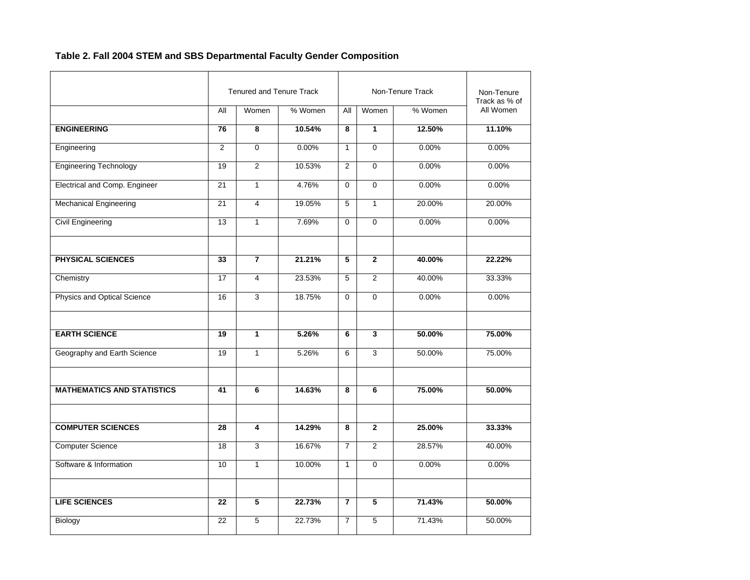# **Table 2. Fall 2004 STEM and SBS Departmental Faculty Gender Composition**

|                                   |                 | <b>Tenured and Tenure Track</b> |         |                         |                | Non-Tenure Track | Non-Tenure<br>Track as % of |
|-----------------------------------|-----------------|---------------------------------|---------|-------------------------|----------------|------------------|-----------------------------|
|                                   | <b>All</b>      | Women                           | % Women | All                     | Women          | % Women          | All Women                   |
| <b>ENGINEERING</b>                | $\overline{76}$ | 8                               | 10.54%  | 8                       | $\mathbf{1}$   | 12.50%           | 11.10%                      |
| Engineering                       | 2               | $\mathbf 0$                     | 0.00%   | $\mathbf{1}$            | $\Omega$       | 0.00%            | 0.00%                       |
| <b>Engineering Technology</b>     | 19              | $\overline{2}$                  | 10.53%  | $\overline{2}$          | $\mathbf 0$    | 0.00%            | 0.00%                       |
| Electrical and Comp. Engineer     | 21              | $\mathbf{1}$                    | 4.76%   | $\mathbf 0$             | $\Omega$       | 0.00%            | 0.00%                       |
| <b>Mechanical Engineering</b>     | $\overline{21}$ | $\overline{4}$                  | 19.05%  | $\overline{5}$          | $\mathbf{1}$   | 20.00%           | 20.00%                      |
| <b>Civil Engineering</b>          | 13              | $\mathbf{1}$                    | 7.69%   | $\Omega$                | $\Omega$       | 0.00%            | 0.00%                       |
| PHYSICAL SCIENCES                 | 33              | 7                               | 21.21%  | 5                       | $\mathbf 2$    | 40.00%           | 22.22%                      |
| Chemistry                         | $\overline{17}$ | $\overline{4}$                  | 23.53%  | $\overline{5}$          | $\overline{2}$ | 40.00%           | 33.33%                      |
| Physics and Optical Science       | 16              | 3                               | 18.75%  | $\mathbf 0$             | $\mathbf 0$    | 0.00%            | 0.00%                       |
| <b>EARTH SCIENCE</b>              | 19              | $\mathbf{1}$                    | 5.26%   | 6                       | 3              | 50.00%           | 75.00%                      |
| Geography and Earth Science       | 19              | $\mathbf{1}$                    | 5.26%   | 6                       | 3              | 50.00%           | 75.00%                      |
| <b>MATHEMATICS AND STATISTICS</b> | 41              | 6                               | 14.63%  | 8                       | 6              | 75.00%           | 50.00%                      |
| <b>COMPUTER SCIENCES</b>          | 28              | 4                               | 14.29%  | 8                       | $\mathbf{2}$   | 25.00%           | 33.33%                      |
| <b>Computer Science</b>           | 18              | 3                               | 16.67%  | $\overline{7}$          | 2              | 28.57%           | 40.00%                      |
| Software & Information            | 10              | $\mathbf{1}$                    | 10.00%  | $\mathbf{1}$            | 0              | 0.00%            | 0.00%                       |
| <b>LIFE SCIENCES</b>              | 22              | 5                               | 22.73%  | $\overline{\mathbf{r}}$ | 5              | 71.43%           | 50.00%                      |
| Biology                           | 22              | 5                               | 22.73%  | $\overline{7}$          | 5              | 71.43%           | 50.00%                      |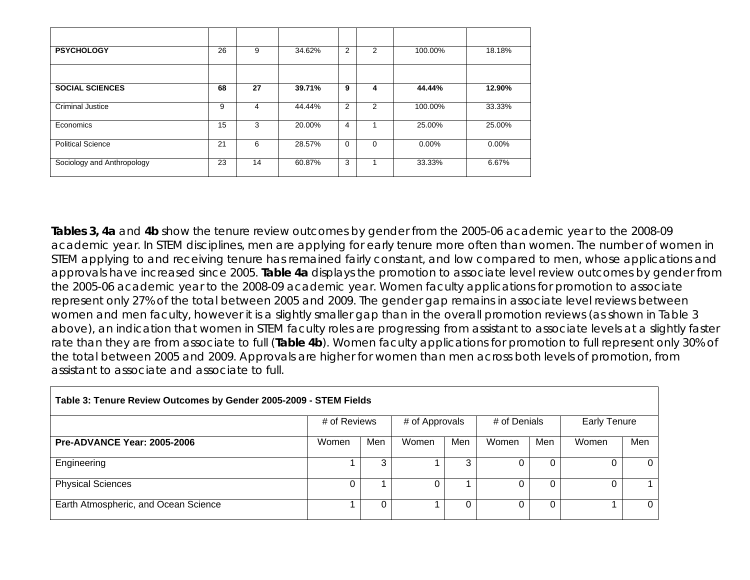| <b>PSYCHOLOGY</b>          | 26 | 9  | 34.62% | 2 | $\overline{2}$ | 100.00%  | 18.18%   |
|----------------------------|----|----|--------|---|----------------|----------|----------|
|                            |    |    |        |   |                |          |          |
| <b>SOCIAL SCIENCES</b>     | 68 | 27 | 39.71% | 9 | 4              | 44.44%   | 12.90%   |
| <b>Criminal Justice</b>    | 9  | 4  | 44.44% | 2 | 2              | 100.00%  | 33.33%   |
| Economics                  | 15 | 3  | 20.00% | 4 |                | 25.00%   | 25.00%   |
| <b>Political Science</b>   | 21 | 6  | 28.57% | 0 | $\Omega$       | $0.00\%$ | $0.00\%$ |
| Sociology and Anthropology | 23 | 14 | 60.87% | 3 |                | 33.33%   | 6.67%    |

**Tables 3, 4a** and **4b** show the tenure review outcomes by gender from the 2005-06 academic year to the 2008-09 academic year. In STEM disciplines, men are applying for early tenure more often than women. The number of women in STEM applying to and receiving tenure has remained fairly constant, and low compared to men, whose applications and approvals have increased since 2005. **Table 4a** displays the promotion to associate level review outcomes by gender from the 2005-06 academic year to the 2008-09 academic year. Women faculty applications for promotion to associate represent only 27% of the total between 2005 and 2009. The gender gap remains in associate level reviews between women and men faculty, however it is a slightly smaller gap than in the overall promotion reviews (as shown in Table 3 above), an indication that women in STEM faculty roles are progressing from assistant to associate levels at a slightly faster rate than they are from associate to full (**Table 4b**). Women faculty applications for promotion to full represent only 30% of the total between 2005 and 2009. Approvals are higher for women than men across both levels of promotion, from assistant to associate and associate to full.

| Table 3: Tenure Review Outcomes by Gender 2005-2009 - STEM Fields |              |     |                |     |              |     |                     |                |  |  |
|-------------------------------------------------------------------|--------------|-----|----------------|-----|--------------|-----|---------------------|----------------|--|--|
|                                                                   | # of Reviews |     | # of Approvals |     | # of Denials |     | <b>Early Tenure</b> |                |  |  |
| <b>Pre-ADVANCE Year: 2005-2006</b>                                | Women        | Men | Women          | Men | Women        | Men | Women               | Men            |  |  |
| Engineering                                                       |              | 3   |                | 3   |              |     |                     | $\overline{0}$ |  |  |
| <b>Physical Sciences</b>                                          |              |     |                |     |              |     |                     |                |  |  |
| Earth Atmospheric, and Ocean Science                              |              | 0   |                |     |              |     |                     | $\Omega$       |  |  |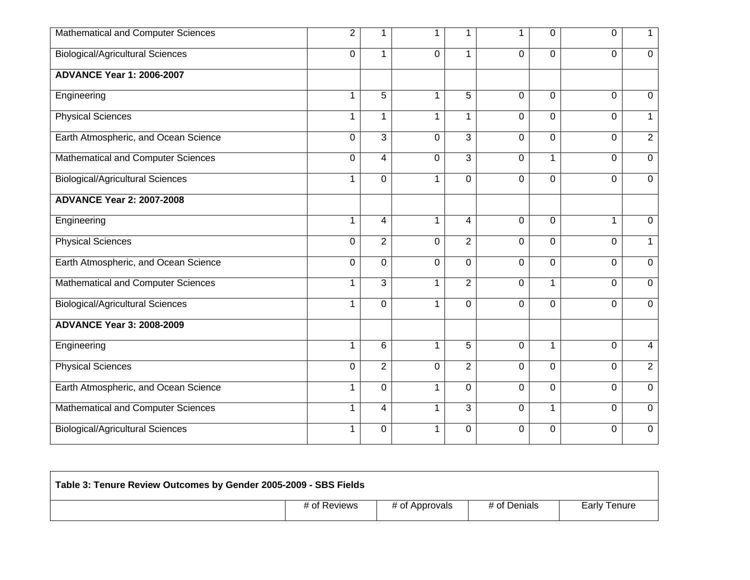| Mathematical and Computer Sciences      | $\overline{2}$ |                         | 1            | 1              |             | 0            | $\Omega$       | 1              |
|-----------------------------------------|----------------|-------------------------|--------------|----------------|-------------|--------------|----------------|----------------|
| <b>Biological/Agricultural Sciences</b> | $\Omega$       | 1                       | $\Omega$     | 1              | $\Omega$    | $\Omega$     | $\Omega$       | $\mathbf 0$    |
| <b>ADVANCE Year 1: 2006-2007</b>        |                |                         |              |                |             |              |                |                |
| Engineering                             | $\mathbf 1$    | 5                       | 1            | 5              | $\Omega$    | $\Omega$     | $\overline{0}$ | 0              |
| <b>Physical Sciences</b>                | $\mathbf 1$    | 1                       | 1            | 1              | $\Omega$    | $\Omega$     | $\mathbf 0$    | $\mathbf 1$    |
| Earth Atmospheric, and Ocean Science    | 0              | $\overline{\omega}$     | $\mathbf 0$  | 3              | $\Omega$    | $\Omega$     | $\Omega$       | $\overline{2}$ |
| Mathematical and Computer Sciences      | 0              | $\overline{\mathbf{4}}$ | $\mathbf 0$  | 3              | $\mathbf 0$ | $\mathbf{1}$ | $\overline{0}$ | $\mathbf 0$    |
| <b>Biological/Agricultural Sciences</b> | $\mathbf 1$    | $\Omega$                | 1            | 0              | $\Omega$    | $\Omega$     | $\Omega$       | $\mathbf 0$    |
| <b>ADVANCE Year 2: 2007-2008</b>        |                |                         |              |                |             |              |                |                |
| Engineering                             | $\mathbf 1$    | 4                       | $\mathbf{1}$ | $\overline{4}$ | $\Omega$    | $\Omega$     | $\overline{1}$ | $\mathbf 0$    |
| <b>Physical Sciences</b>                | 0              | $\overline{2}$          | $\Omega$     | $\overline{2}$ | $\Omega$    | $\Omega$     | $\Omega$       | $\mathbf 1$    |
| Earth Atmospheric, and Ocean Science    | 0              | 0                       | $\mathbf 0$  | $\Omega$       | $\mathbf 0$ | $\mathbf 0$  | $\mathbf 0$    | $\mathbf 0$    |
| Mathematical and Computer Sciences      | 1              | 3                       | $\mathbf 1$  | $\overline{2}$ | $\Omega$    | $\mathbf 1$  | $\overline{0}$ | $\mathbf 0$    |
| <b>Biological/Agricultural Sciences</b> | $\mathbf 1$    | 0                       | $\mathbf{1}$ | 0              | 0           | $\mathbf 0$  | $\Omega$       | $\mathbf 0$    |
| <b>ADVANCE Year 3: 2008-2009</b>        |                |                         |              |                |             |              |                |                |
| Engineering                             | $\mathbf{1}$   | 6                       | 1            | 5              | 0           | $\mathbf 1$  | 0              | $\overline{4}$ |
| <b>Physical Sciences</b>                | $\Omega$       | $\overline{2}$          | $\Omega$     | $\overline{2}$ | $\Omega$    | $\Omega$     | $\Omega$       | $\overline{2}$ |
| Earth Atmospheric, and Ocean Science    | $\mathbf{1}$   | $\overline{0}$          | $\mathbf{1}$ | 0              | $\Omega$    | $\mathbf 0$  | $\Omega$       | $\mathbf 0$    |
| Mathematical and Computer Sciences      | $\mathbf 1$    | 4                       | $\mathbf{1}$ | 3              | 0           | $\mathbf{1}$ | $\Omega$       | $\mathbf 0$    |
| <b>Biological/Agricultural Sciences</b> | 1              | $\Omega$                | 1            | 0              | $\Omega$    | 0            | $\Omega$       | 0              |

| Table 3: Tenure Review Outcomes by Gender 2005-2009 - SBS Fields |                |              |                     |  |  |  |  |  |  |  |  |
|------------------------------------------------------------------|----------------|--------------|---------------------|--|--|--|--|--|--|--|--|
| # of Reviews                                                     | # of Approvals | # of Denials | <b>Early Tenure</b> |  |  |  |  |  |  |  |  |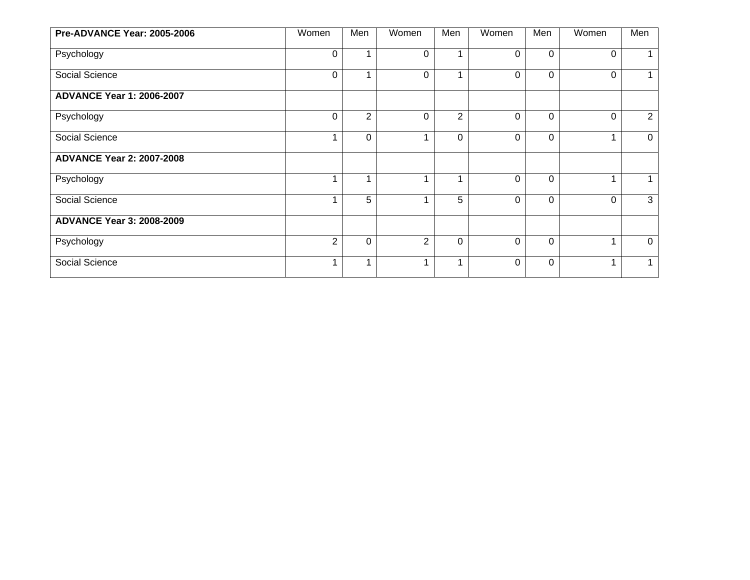| Pre-ADVANCE Year: 2005-2006      | Women          | Men            | Women          | Men            | Women    | Men      | Women                   | Men            |
|----------------------------------|----------------|----------------|----------------|----------------|----------|----------|-------------------------|----------------|
| Psychology                       | 0              |                | $\mathbf 0$    |                | $\Omega$ | 0        | $\Omega$                |                |
| Social Science                   | 0              |                | 0              |                | $\Omega$ | $\Omega$ | $\Omega$                | $\mathbf 1$    |
| <b>ADVANCE Year 1: 2006-2007</b> |                |                |                |                |          |          |                         |                |
| Psychology                       | 0              | $\overline{2}$ | $\mathbf 0$    | $\overline{2}$ | 0        | $\Omega$ | $\overline{0}$          | $\overline{2}$ |
| Social Science                   |                | $\Omega$       | 1              | 0              | $\Omega$ | $\Omega$ | $\overline{\mathbf{A}}$ | $\mathbf 0$    |
| <b>ADVANCE Year 2: 2007-2008</b> |                |                |                |                |          |          |                         |                |
| Psychology                       |                |                | 1              |                | $\Omega$ | 0        |                         | 1              |
| Social Science                   |                | 5              | 1              | 5              | $\Omega$ | $\Omega$ | $\Omega$                | 3              |
| <b>ADVANCE Year 3: 2008-2009</b> |                |                |                |                |          |          |                         |                |
| Psychology                       | $\overline{2}$ | $\Omega$       | $\overline{2}$ | $\Omega$       | $\Omega$ | $\Omega$ | 4                       | $\overline{0}$ |
| Social Science                   | 1              |                | 1              | 1              | $\Omega$ | 0        | 4                       | $\mathbf{1}$   |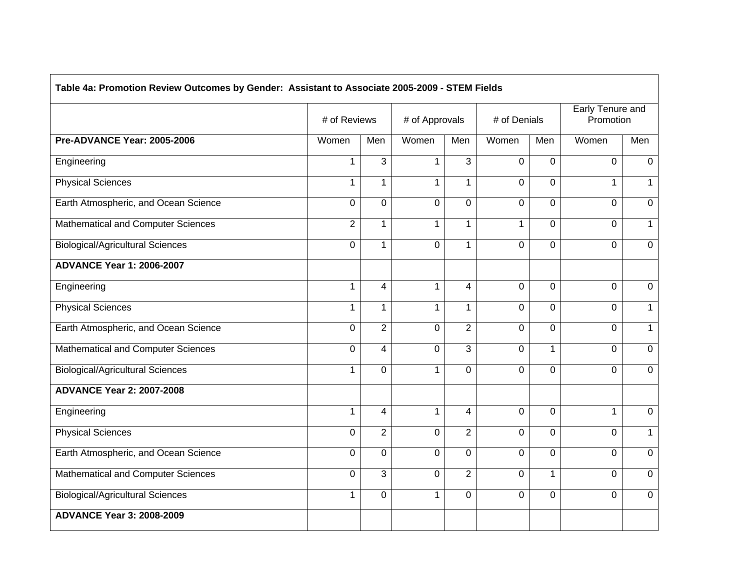|                                         | # of Reviews   |                | # of Approvals |                | # of Denials   |              | <b>Early Tenure and</b><br>Promotion |                |
|-----------------------------------------|----------------|----------------|----------------|----------------|----------------|--------------|--------------------------------------|----------------|
| Pre-ADVANCE Year: 2005-2006             | Women          | Men            | Women          | Men            | Women          | Men          | Women                                | Men            |
| Engineering                             | $\mathbf{1}$   | 3              | $\mathbf{1}$   | 3              | $\mathbf 0$    | $\mathbf 0$  | $\overline{0}$                       | $\mathbf{0}$   |
| <b>Physical Sciences</b>                | $\mathbf{1}$   | $\mathbf{1}$   | $\mathbf{1}$   | $\mathbf{1}$   | $\Omega$       | $\Omega$     | $\mathbf{1}$                         | $\mathbf{1}$   |
| Earth Atmospheric, and Ocean Science    | 0              | $\Omega$       | $\overline{0}$ | $\Omega$       | $\Omega$       | $\Omega$     | 0                                    | $\overline{0}$ |
| Mathematical and Computer Sciences      | $\overline{2}$ | $\mathbf{1}$   | $\mathbf{1}$   | 1              | $\mathbf{1}$   | $\mathbf{0}$ | 0                                    | $\mathbf{1}$   |
| <b>Biological/Agricultural Sciences</b> | 0              | $\mathbf{1}$   | $\overline{0}$ | $\mathbf{1}$   | $\overline{0}$ | $\mathbf 0$  | 0                                    | $\overline{0}$ |
| <b>ADVANCE Year 1: 2006-2007</b>        |                |                |                |                |                |              |                                      |                |
| Engineering                             | $\mathbf{1}$   | $\overline{4}$ | $\mathbf{1}$   | 4              | $\Omega$       | $\Omega$     | 0                                    | $\mathbf{0}$   |
| <b>Physical Sciences</b>                | $\mathbf{1}$   | $\mathbf{1}$   | $\mathbf{1}$   | $\mathbf{1}$   | $\mathbf 0$    | $\mathbf 0$  | 0                                    | $\mathbf{1}$   |
| Earth Atmospheric, and Ocean Science    | 0              | $\overline{2}$ | $\Omega$       | $\overline{2}$ | $\Omega$       | $\Omega$     | $\Omega$                             | $\overline{1}$ |
| Mathematical and Computer Sciences      | 0              | 4              | $\overline{0}$ | 3              | $\mathbf 0$    | $\mathbf{1}$ | 0                                    | $\overline{0}$ |
| <b>Biological/Agricultural Sciences</b> | $\mathbf{1}$   | $\Omega$       | $\mathbf{1}$   | $\Omega$       | $\Omega$       | $\Omega$     | $\Omega$                             | $\Omega$       |
| <b>ADVANCE Year 2: 2007-2008</b>        |                |                |                |                |                |              |                                      |                |
| Engineering                             | $\mathbf 1$    | 4              | $\mathbf 1$    | 4              | $\mathbf 0$    | $\Omega$     | $\mathbf{1}$                         | $\mathbf 0$    |
| <b>Physical Sciences</b>                | 0              | $\overline{2}$ | $\Omega$       | $\overline{2}$ | $\Omega$       | $\Omega$     | $\Omega$                             | $\mathbf{1}$   |
| Earth Atmospheric, and Ocean Science    | $\mathbf 0$    | $\overline{0}$ | $\mathbf 0$    | $\mathbf 0$    | $\mathbf 0$    | $\mathbf 0$  | 0                                    | $\mathbf 0$    |
| Mathematical and Computer Sciences      | 0              | $\overline{3}$ | $\mathbf 0$    | $\overline{2}$ | $\overline{0}$ | $\mathbf{1}$ | $\overline{0}$                       | 0              |
| <b>Biological/Agricultural Sciences</b> | 1              | $\overline{0}$ | $\mathbf{1}$   | $\Omega$       | $\Omega$       | $\mathbf 0$  | 0                                    | $\overline{0}$ |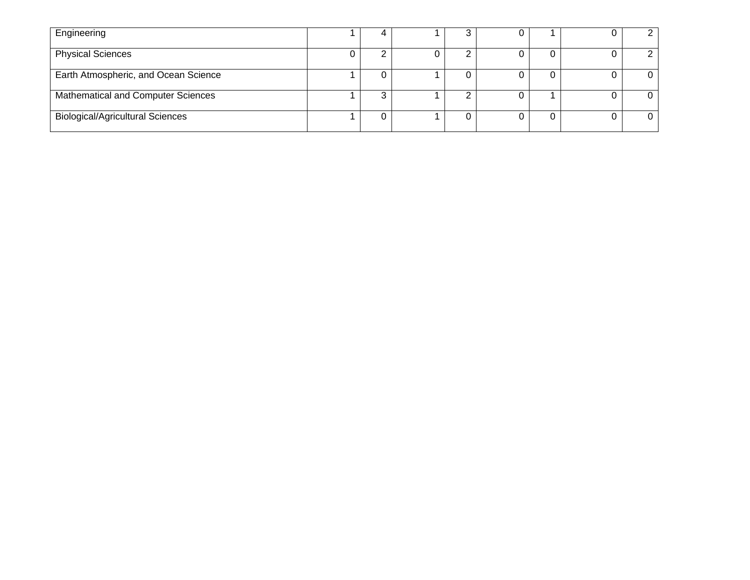| Engineering                             |  |  |  |                |
|-----------------------------------------|--|--|--|----------------|
| <b>Physical Sciences</b>                |  |  |  |                |
| Earth Atmospheric, and Ocean Science    |  |  |  | $\overline{0}$ |
| Mathematical and Computer Sciences      |  |  |  | 0              |
| <b>Biological/Agricultural Sciences</b> |  |  |  | $\Omega$       |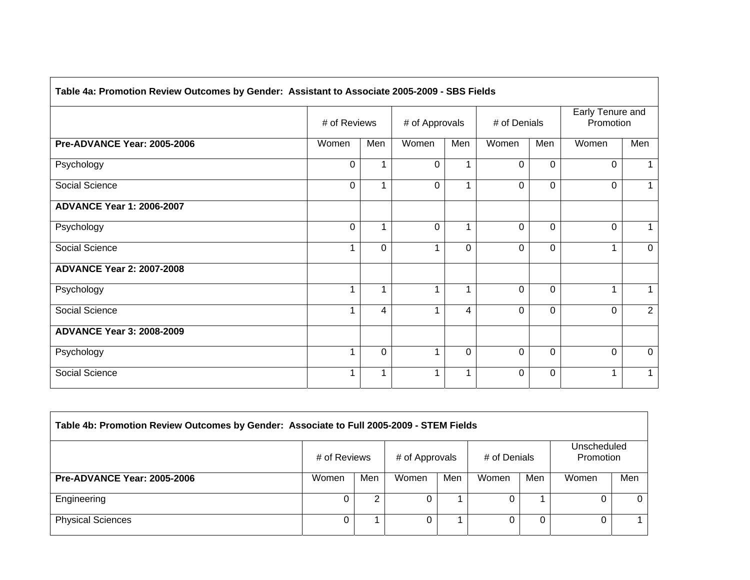| # of Reviews |                | # of Approvals |          | # of Denials |                                                                                              | Early Tenure and<br>Promotion |             |
|--------------|----------------|----------------|----------|--------------|----------------------------------------------------------------------------------------------|-------------------------------|-------------|
| Women        | Men            | Women          | Men      | Women        | Men                                                                                          | Women                         | Men         |
| $\mathbf 0$  | 1              | $\Omega$       |          | $\Omega$     | $\Omega$                                                                                     | $\mathbf 0$                   |             |
| 0            |                | $\Omega$       |          | $\Omega$     | $\mathbf 0$                                                                                  | $\Omega$                      |             |
|              |                |                |          |              |                                                                                              |                               |             |
| $\Omega$     | 1              | $\Omega$       | 1        | $\Omega$     | $\Omega$                                                                                     | $\Omega$                      |             |
|              | $\Omega$       | 1              | $\Omega$ | $\Omega$     | $\Omega$                                                                                     |                               | $\Omega$    |
|              |                |                |          |              |                                                                                              |                               |             |
|              | 1              | 1              | 1        | 0            | $\Omega$                                                                                     |                               | 1           |
|              | 4              | 1              | 4        | $\Omega$     | $\Omega$                                                                                     | $\Omega$                      | 2           |
|              |                |                |          |              |                                                                                              |                               |             |
|              | $\overline{0}$ | 1              | $\Omega$ | 0            | 0                                                                                            | $\mathbf 0$                   | $\mathbf 0$ |
|              | 1              | 1              |          | 0            | $\Omega$                                                                                     |                               | 1           |
|              |                |                |          |              | Table 4a: Promotion Review Outcomes by Gender: Assistant to Associate 2005-2009 - SBS Fields |                               |             |

| Table 4b: Promotion Review Outcomes by Gender: Associate to Full 2005-2009 - STEM Fields |              |     |                |     |              |     |                          |     |  |  |
|------------------------------------------------------------------------------------------|--------------|-----|----------------|-----|--------------|-----|--------------------------|-----|--|--|
|                                                                                          | # of Reviews |     | # of Approvals |     | # of Denials |     | Unscheduled<br>Promotion |     |  |  |
| <b>Pre-ADVANCE Year: 2005-2006</b>                                                       | Women        | Men | Women          | Men | Women        | Men | Women                    | Men |  |  |
| Engineering                                                                              |              |     |                |     |              |     |                          |     |  |  |
| <b>Physical Sciences</b>                                                                 |              |     |                |     |              |     |                          |     |  |  |

<u> 1980 - Johann Barn, mars ann an t-Amhain Aonaichte ann an t-Aonaichte ann an t-Aonaichte ann an t-Aonaichte a</u>

 $\sqrt{2}$ 

 $\overline{\phantom{0}}$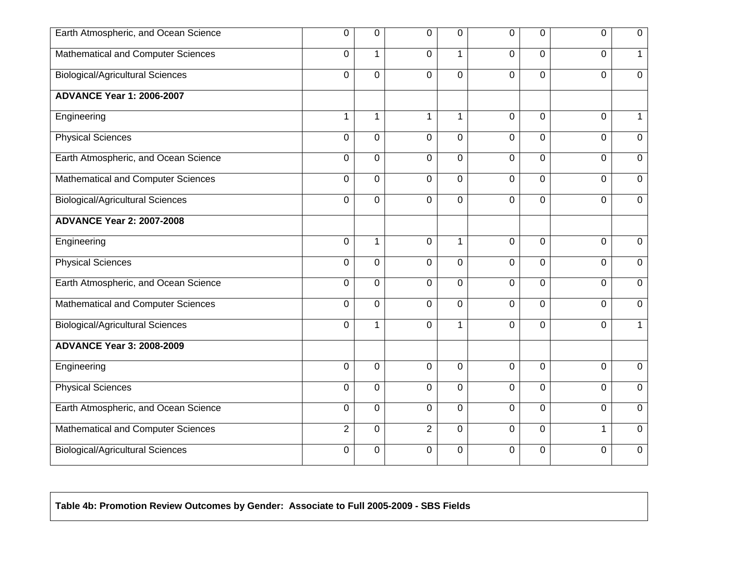| Earth Atmospheric, and Ocean Science      | $\Omega$       | 0              | 0              | $\Omega$       | $\Omega$       | $\Omega$       | $\Omega$       | 0              |
|-------------------------------------------|----------------|----------------|----------------|----------------|----------------|----------------|----------------|----------------|
| <b>Mathematical and Computer Sciences</b> | 0              | 1              | 0              | $\mathbf{1}$   | $\overline{0}$ | 0              | 0              | $\mathbf{1}$   |
| <b>Biological/Agricultural Sciences</b>   | $\mathbf 0$    | $\mathbf 0$    | $\mathbf 0$    | 0              | $\mathbf 0$    | 0              | 0              | $\mathbf 0$    |
| <b>ADVANCE Year 1: 2006-2007</b>          |                |                |                |                |                |                |                |                |
| Engineering                               | $\mathbf{1}$   | 1              | 1              | $\mathbf 1$    | $\overline{0}$ | $\Omega$       | 0              | $\mathbf 1$    |
| <b>Physical Sciences</b>                  | $\overline{0}$ | $\overline{0}$ | 0              | 0              | $\overline{0}$ | $\overline{0}$ | 0              | $\overline{0}$ |
| Earth Atmospheric, and Ocean Science      | $\mathbf{0}$   | $\mathbf 0$    | 0              | 0              | $\mathbf 0$    | $\Omega$       | $\Omega$       | $\mathbf 0$    |
| <b>Mathematical and Computer Sciences</b> | $\overline{0}$ | $\mathbf 0$    | $\mathbf 0$    | $\overline{0}$ | $\mathbf 0$    | 0              | 0              | $\overline{0}$ |
| <b>Biological/Agricultural Sciences</b>   | 0              | 0              | 0              | 0              | $\overline{0}$ | 0              | 0              | $\mathbf 0$    |
| <b>ADVANCE Year 2: 2007-2008</b>          |                |                |                |                |                |                |                |                |
| Engineering                               | $\mathbf 0$    | 1              | 0              | $\mathbf{1}$   | $\Omega$       | $\Omega$       | $\overline{0}$ | $\mathbf 0$    |
| <b>Physical Sciences</b>                  | $\pmb{0}$      | $\mathbf 0$    | 0              | 0              | $\mathbf 0$    | $\Omega$       | 0              | $\mathbf 0$    |
| Earth Atmospheric, and Ocean Science      | $\mathbf 0$    | 0              | 0              | 0              | $\mathbf 0$    | $\mathbf 0$    | $\Omega$       | $\mathbf 0$    |
| Mathematical and Computer Sciences        | $\mathbf 0$    | $\mathbf 0$    | 0              | 0              | $\mathbf 0$    | 0              | 0              | $\mathbf 0$    |
| <b>Biological/Agricultural Sciences</b>   | 0              | 1              | $\mathbf 0$    | $\mathbf{1}$   | $\mathbf 0$    | 0              | 0              | $\mathbf{1}$   |
| <b>ADVANCE Year 3: 2008-2009</b>          |                |                |                |                |                |                |                |                |
| Engineering                               | $\mathbf 0$    | $\overline{0}$ | $\mathbf 0$    | 0              | $\overline{0}$ | $\mathbf 0$    | 0              | $\overline{0}$ |
| <b>Physical Sciences</b>                  | $\mathbf 0$    | $\mathbf 0$    | 0              | 0              | $\mathbf 0$    | $\mathbf 0$    | 0              | $\mathbf 0$    |
| Earth Atmospheric, and Ocean Science      | $\Omega$       | $\mathbf 0$    | 0              | $\Omega$       | $\Omega$       | $\Omega$       | $\Omega$       | $\mathbf{0}$   |
| <b>Mathematical and Computer Sciences</b> | $\overline{2}$ | $\Omega$       | $\overline{2}$ | $\overline{0}$ | $\mathbf 0$    | $\Omega$       | 1              | $\overline{0}$ |
| <b>Biological/Agricultural Sciences</b>   | 0              | 0              | 0              | 0              | 0              | 0              | 0              | 0              |

# **Table 4b: Promotion Review Outcomes by Gender: Associate to Full 2005-2009 - SBS Fields**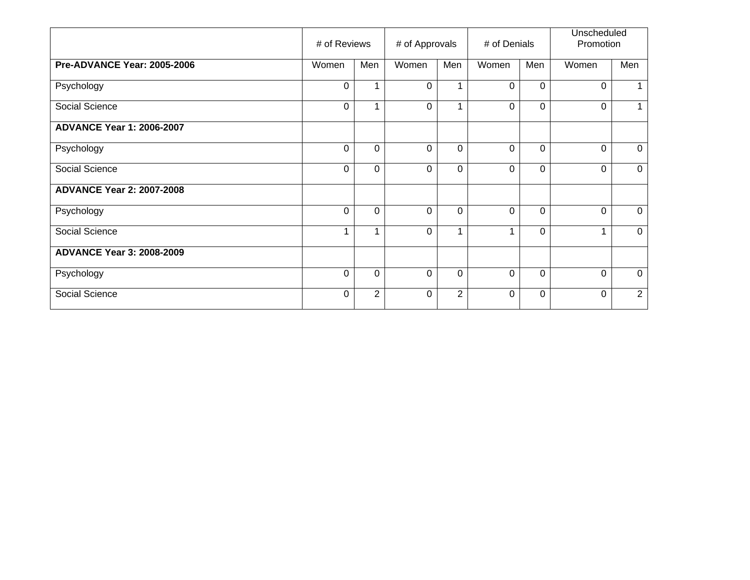|                                  | # of Reviews |          | # of Approvals |          | # of Denials |          | Unscheduled<br>Promotion |             |
|----------------------------------|--------------|----------|----------------|----------|--------------|----------|--------------------------|-------------|
| Pre-ADVANCE Year: 2005-2006      | Women        | Men      | Women          | Men      | Women        | Men      | Women                    | Men         |
| Psychology                       | 0            |          | 0              | 1        | $\Omega$     | 0        | 0                        | 1.          |
| Social Science                   | 0            |          | $\Omega$       | 1        | $\Omega$     | 0        | $\Omega$                 | 1           |
| <b>ADVANCE Year 1: 2006-2007</b> |              |          |                |          |              |          |                          |             |
| Psychology                       | 0            | $\Omega$ | $\Omega$       | $\Omega$ | $\Omega$     | 0        | $\Omega$                 | 0           |
| Social Science                   | 0            | $\Omega$ | $\Omega$       | $\Omega$ | $\Omega$     | $\Omega$ | $\Omega$                 | $\mathbf 0$ |
| <b>ADVANCE Year 2: 2007-2008</b> |              |          |                |          |              |          |                          |             |
| Psychology                       | 0            | $\Omega$ | $\Omega$       | $\Omega$ | $\Omega$     | 0        | $\Omega$                 | $\mathbf 0$ |
| Social Science                   | 1            |          | $\mathbf 0$    | 1        | 4            | 0        | 1                        | $\mathbf 0$ |
| <b>ADVANCE Year 3: 2008-2009</b> |              |          |                |          |              |          |                          |             |
| Psychology                       | 0            | 0        | $\Omega$       | 0        | $\Omega$     | 0        | $\Omega$                 | $\mathbf 0$ |
| Social Science                   | 0            | 2        | $\Omega$       | 2        | $\Omega$     | $\Omega$ | $\Omega$                 | 2           |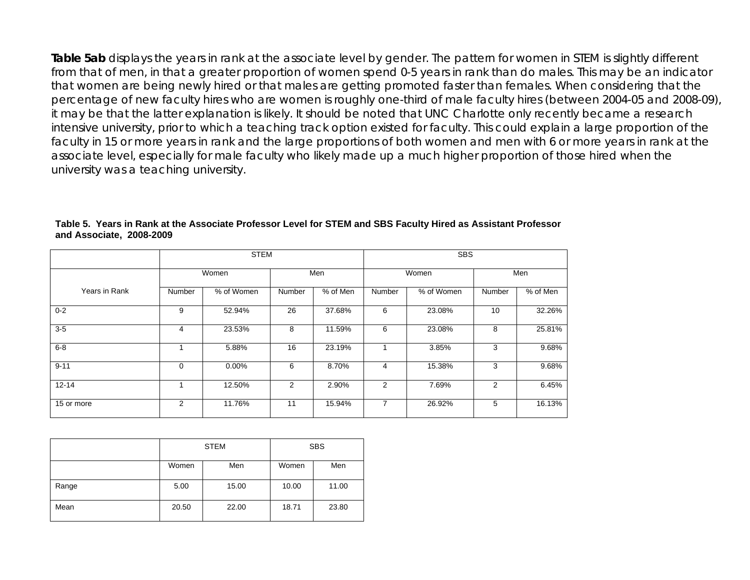**Table 5ab** displays the years in rank at the associate level by gender. The pattern for women in STEM is slightly different from that of men, in that a greater proportion of women spend 0-5 years in rank than do males. This may be an indicator that women are being newly hired or that males are getting promoted faster than females. When considering that the percentage of new faculty hires who are women is roughly one-third of male faculty hires (between 2004-05 and 2008-09), it may be that the latter explanation is likely. It should be noted that UNC Charlotte only recently became a research intensive university, prior to which a teaching track option existed for faculty. This could explain a large proportion of the faculty in 15 or more years in rank and the large proportions of both women and men with 6 or more years in rank at the associate level, especially for male faculty who likely made up a much higher proportion of those hired when the university was a teaching university.

|               |        | <b>STEM</b> |        |          |        |            |        |          |
|---------------|--------|-------------|--------|----------|--------|------------|--------|----------|
|               |        | Women       | Men    |          | Women  |            |        | Men      |
| Years in Rank | Number | % of Women  | Number | % of Men | Number | % of Women | Number | % of Men |
| $0 - 2$       | 9      | 52.94%      | 26     | 37.68%   | 6      | 23.08%     | 10     | 32.26%   |
| $3-5$         | 4      | 23.53%      | 8      | 11.59%   | 6      | 23.08%     | 8      | 25.81%   |
| $6 - 8$       |        | 5.88%       | 16     | 23.19%   |        | 3.85%      | 3      | 9.68%    |
| $9 - 11$      | 0      | 0.00%       | 6      | 8.70%    | 4      | 15.38%     | 3      | 9.68%    |
| $12 - 14$     |        | 12.50%      | 2      | 2.90%    | 2      | 7.69%      | 2      | 6.45%    |
| 15 or more    | 2      | 11.76%      | 11     | 15.94%   | 7      | 26.92%     | 5      | 16.13%   |

#### **Table 5. Years in Rank at the Associate Professor Level for STEM and SBS Faculty Hired as Assistant Professor and Associate, 2008-2009**

|       |       | <b>STEM</b> | <b>SBS</b> |       |  |
|-------|-------|-------------|------------|-------|--|
|       | Women | Men         | Women      | Men   |  |
| Range | 5.00  | 15.00       | 10.00      | 11.00 |  |
| Mean  | 20.50 | 22.00       | 18.71      | 23.80 |  |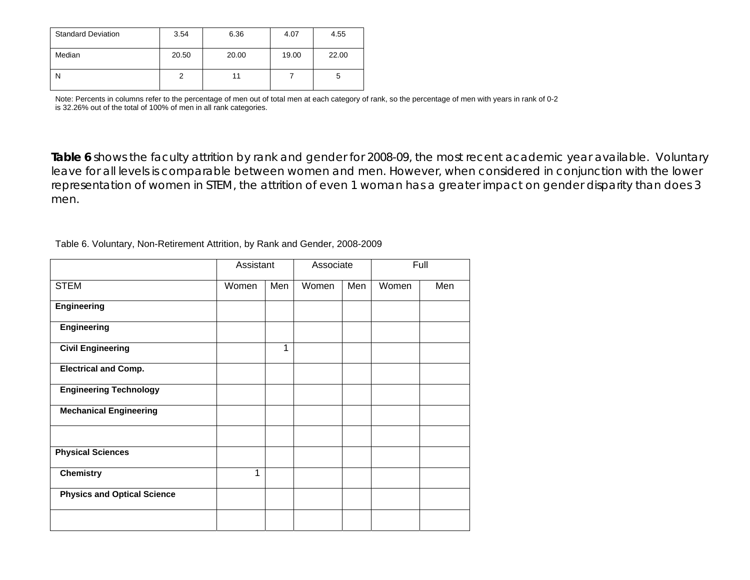| <b>Standard Deviation</b> | 3.54  | 6.36  | 4.07  | 4.55  |
|---------------------------|-------|-------|-------|-------|
| Median                    | 20.50 | 20.00 | 19.00 | 22.00 |
| N                         |       |       |       |       |

Note: Percents in columns refer to the percentage of men out of total men at each category of rank, so the percentage of men with years in rank of 0-2 is 32.26% out of the total of 100% of men in all rank categories.

**Table 6** shows the faculty attrition by rank and gender for 2008-09, the most recent academic year available. Voluntary leave for all levels is comparable between women and men. However, when considered in conjunction with the lower representation of women in STEM, the attrition of even 1 woman has a greater impact on gender disparity than does 3 men.

| Table 6. Voluntary, Non-Retirement Attrition, by Rank and Gender, 2008-2009 |  |  |  |  |
|-----------------------------------------------------------------------------|--|--|--|--|
|-----------------------------------------------------------------------------|--|--|--|--|

|                                    | Assistant |     | Associate |     |       | Full |
|------------------------------------|-----------|-----|-----------|-----|-------|------|
| <b>STEM</b>                        | Women     | Men | Women     | Men | Women | Men  |
| <b>Engineering</b>                 |           |     |           |     |       |      |
| Engineering                        |           |     |           |     |       |      |
| <b>Civil Engineering</b>           |           | 1   |           |     |       |      |
| <b>Electrical and Comp.</b>        |           |     |           |     |       |      |
| <b>Engineering Technology</b>      |           |     |           |     |       |      |
| <b>Mechanical Engineering</b>      |           |     |           |     |       |      |
|                                    |           |     |           |     |       |      |
| <b>Physical Sciences</b>           |           |     |           |     |       |      |
| <b>Chemistry</b>                   | 1         |     |           |     |       |      |
| <b>Physics and Optical Science</b> |           |     |           |     |       |      |
|                                    |           |     |           |     |       |      |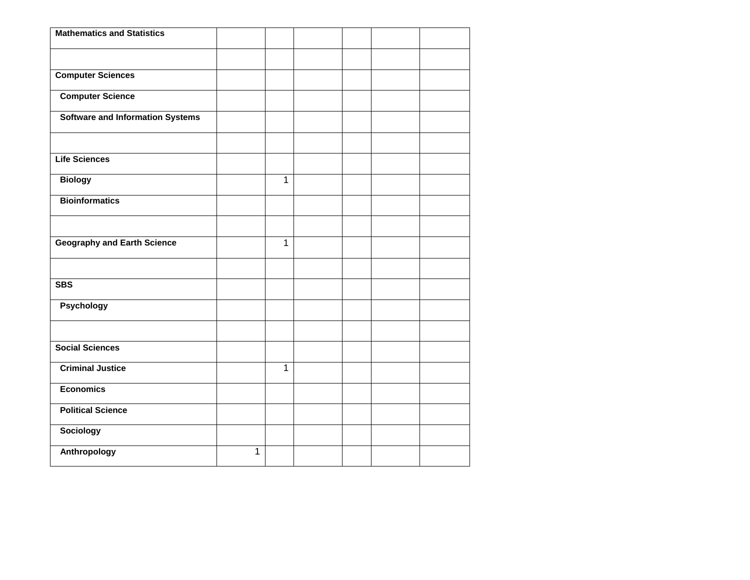| <b>Mathematics and Statistics</b>       |              |                |  |  |
|-----------------------------------------|--------------|----------------|--|--|
|                                         |              |                |  |  |
| <b>Computer Sciences</b>                |              |                |  |  |
| <b>Computer Science</b>                 |              |                |  |  |
| <b>Software and Information Systems</b> |              |                |  |  |
|                                         |              |                |  |  |
| <b>Life Sciences</b>                    |              |                |  |  |
| <b>Biology</b>                          |              | $\overline{1}$ |  |  |
| <b>Bioinformatics</b>                   |              |                |  |  |
|                                         |              |                |  |  |
| <b>Geography and Earth Science</b>      |              | $\mathbf{1}$   |  |  |
|                                         |              |                |  |  |
| <b>SBS</b>                              |              |                |  |  |
| Psychology                              |              |                |  |  |
|                                         |              |                |  |  |
| <b>Social Sciences</b>                  |              |                |  |  |
| <b>Criminal Justice</b>                 |              | $\overline{1}$ |  |  |
| <b>Economics</b>                        |              |                |  |  |
| <b>Political Science</b>                |              |                |  |  |
| Sociology                               |              |                |  |  |
| Anthropology                            | $\mathbf{1}$ |                |  |  |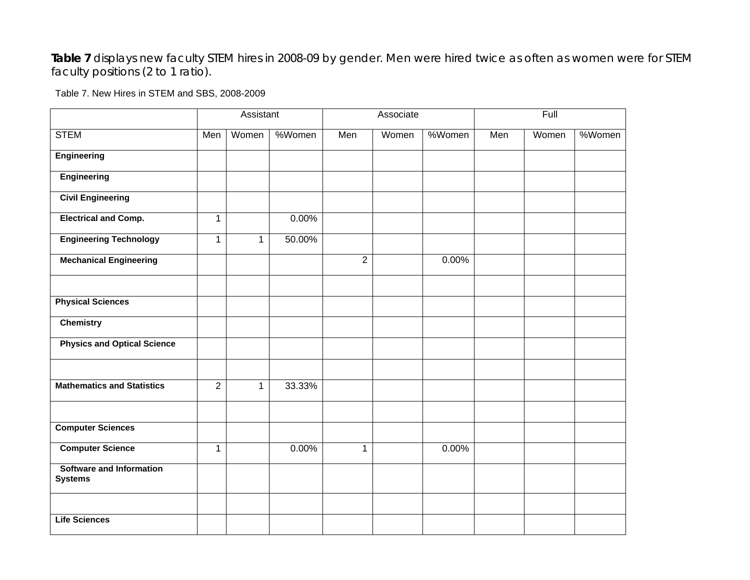**Table 7** displays new faculty STEM hires in 2008-09 by gender. Men were hired twice as often as women were for STEM faculty positions (2 to 1 ratio).

Table 7. New Hires in STEM and SBS, 2008-2009

|                                                   |                | Assistant    |        |                | Associate |        |     | Full  |        |
|---------------------------------------------------|----------------|--------------|--------|----------------|-----------|--------|-----|-------|--------|
| <b>STEM</b>                                       | Men            | Women        | %Women | Men            | Women     | %Women | Men | Women | %Women |
| Engineering                                       |                |              |        |                |           |        |     |       |        |
| <b>Engineering</b>                                |                |              |        |                |           |        |     |       |        |
| <b>Civil Engineering</b>                          |                |              |        |                |           |        |     |       |        |
| <b>Electrical and Comp.</b>                       | $\mathbf{1}$   |              | 0.00%  |                |           |        |     |       |        |
| <b>Engineering Technology</b>                     | $\mathbf{1}$   | $\mathbf{1}$ | 50.00% |                |           |        |     |       |        |
| <b>Mechanical Engineering</b>                     |                |              |        | $\overline{2}$ |           | 0.00%  |     |       |        |
|                                                   |                |              |        |                |           |        |     |       |        |
| <b>Physical Sciences</b>                          |                |              |        |                |           |        |     |       |        |
| <b>Chemistry</b>                                  |                |              |        |                |           |        |     |       |        |
| <b>Physics and Optical Science</b>                |                |              |        |                |           |        |     |       |        |
|                                                   |                |              |        |                |           |        |     |       |        |
| <b>Mathematics and Statistics</b>                 | $\overline{2}$ | $\mathbf{1}$ | 33.33% |                |           |        |     |       |        |
|                                                   |                |              |        |                |           |        |     |       |        |
| <b>Computer Sciences</b>                          |                |              |        |                |           |        |     |       |        |
| <b>Computer Science</b>                           | $\mathbf{1}$   |              | 0.00%  | $\mathbf{1}$   |           | 0.00%  |     |       |        |
| <b>Software and Information</b><br><b>Systems</b> |                |              |        |                |           |        |     |       |        |
|                                                   |                |              |        |                |           |        |     |       |        |
| <b>Life Sciences</b>                              |                |              |        |                |           |        |     |       |        |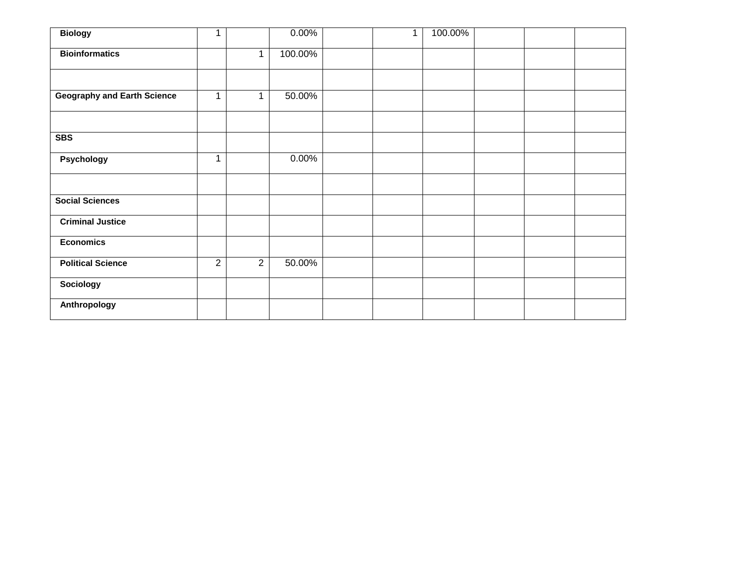| <b>Biology</b>                     | $\mathbf{1}$   |                | 0.00%   | $\mathbf{1}$ | 100.00% |  |  |
|------------------------------------|----------------|----------------|---------|--------------|---------|--|--|
| <b>Bioinformatics</b>              |                | 1              | 100.00% |              |         |  |  |
|                                    |                |                |         |              |         |  |  |
| <b>Geography and Earth Science</b> | 1              | $\mathbf 1$    | 50.00%  |              |         |  |  |
|                                    |                |                |         |              |         |  |  |
| <b>SBS</b>                         |                |                |         |              |         |  |  |
| Psychology                         | 1              |                | 0.00%   |              |         |  |  |
|                                    |                |                |         |              |         |  |  |
| <b>Social Sciences</b>             |                |                |         |              |         |  |  |
| <b>Criminal Justice</b>            |                |                |         |              |         |  |  |
| <b>Economics</b>                   |                |                |         |              |         |  |  |
| <b>Political Science</b>           | $\overline{2}$ | $\overline{2}$ | 50.00%  |              |         |  |  |
| Sociology                          |                |                |         |              |         |  |  |
| Anthropology                       |                |                |         |              |         |  |  |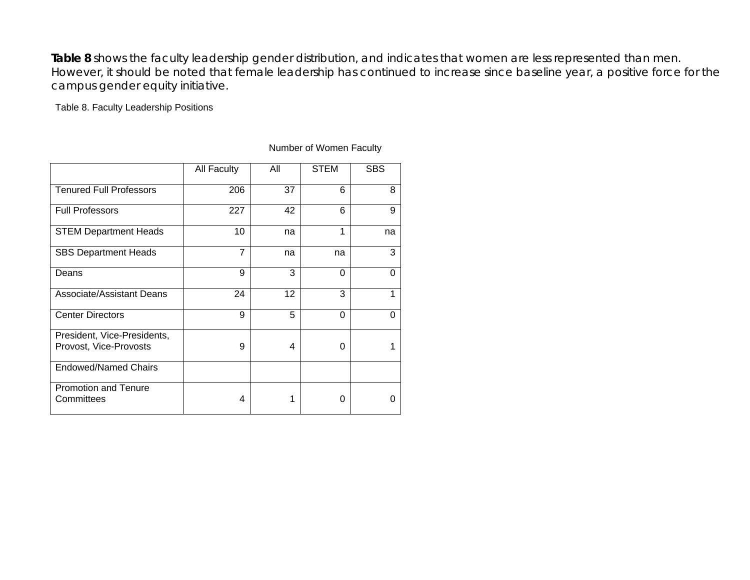**Table 8** shows the faculty leadership gender distribution, and indicates that women are less represented than men. However, it should be noted that female leadership has continued to increase since baseline year, a positive force for the campus gender equity initiative.

# Table 8. Faculty Leadership Positions

|                                                       | All Faculty    | All | <b>STEM</b> | <b>SBS</b> |
|-------------------------------------------------------|----------------|-----|-------------|------------|
| <b>Tenured Full Professors</b>                        | 206            | 37  | 6           | 8          |
| <b>Full Professors</b>                                | 227            | 42  | 6           | 9          |
| <b>STEM Department Heads</b>                          | 10             | na  | 1           | na         |
| <b>SBS Department Heads</b>                           | $\overline{7}$ | na  | na          | 3          |
| Deans                                                 | 9              | 3   | 0           | 0          |
| <b>Associate/Assistant Deans</b>                      | 24             | 12  | 3           | 1          |
| <b>Center Directors</b>                               | 9              | 5   | 0           | $\Omega$   |
| President, Vice-Presidents,<br>Provost, Vice-Provosts | 9              | 4   | 0           |            |
| <b>Endowed/Named Chairs</b>                           |                |     |             |            |
| <b>Promotion and Tenure</b><br>Committees             | 4              | 1   | 0           | O          |

## Number of Women Faculty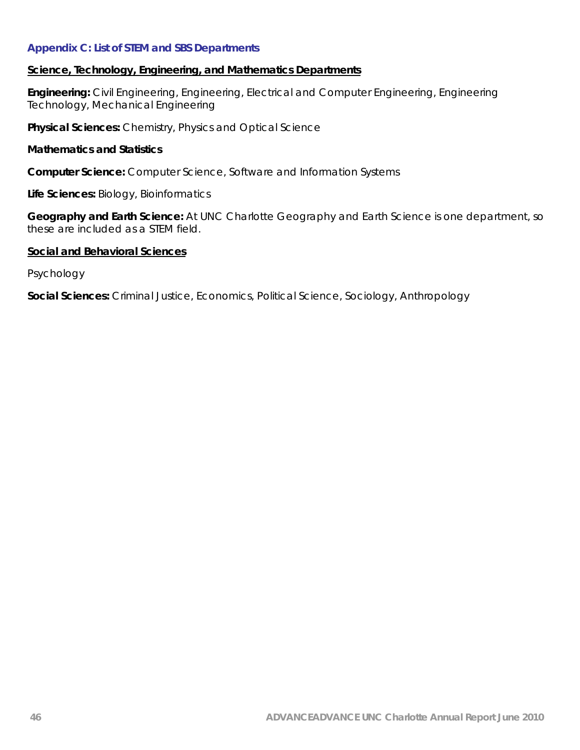# **Appendix C: List of STEM and SBS Departments**

## **Science, Technology, Engineering, and Mathematics Departments**

**Engineering:** Civil Engineering, Engineering, Electrical and Computer Engineering, Engineering Technology, Mechanical Engineering

**Physical Sciences:** Chemistry, Physics and Optical Science

#### **Mathematics and Statistics**

**Computer Science:** Computer Science, Software and Information Systems

**Life Sciences:** Biology, Bioinformatics

**Geography and Earth Science:** At UNC Charlotte Geography and Earth Science is one department, so these are included as a STEM field.

# **Social and Behavioral Sciences**

Psychology

**Social Sciences:** Criminal Justice, Economics, Political Science, Sociology, Anthropology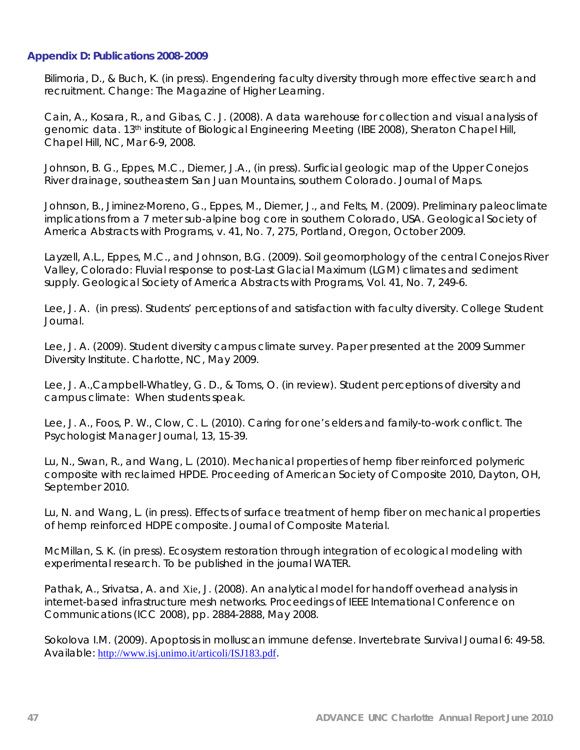### **Appendix D: Publications 2008-2009**

Bilimoria, D., & Buch, K. (in press). Engendering faculty diversity through more effective search and recruitment. *Change: The Magazine of Higher Learning*.

Cain, A., Kosara, R., and Gibas, C. J. (2008). A data warehouse for collection and visual analysis of genomic data. *13th institute of Biological Engineering Meeting (IBE 2008*), Sheraton Chapel Hill, Chapel Hill, NC, Mar 6-9, 2008.

Johnson, B. G., Eppes, M.C., Diemer, J.A., (in press). Surficial geologic map of the Upper Conejos River drainage, southeastern San Juan Mountains, southern Colorad*o. Journal of Maps*.

Johnson, B., Jiminez-Moreno, G., Eppes, M., Diemer, J., and Felts, M. (2009). Preliminary paleoclimate implications from a 7 meter sub-alpine bog core in southern Colorado, USA. *Geological Society of America Abstracts with Programs,* v. 41, No. 7, 275, Portland, Oregon, October 2009.

Layzell, A.L., Eppes, M.C., and Johnson, B.G. (2009). Soil geomorphology of the central Conejos River Valley, Colorado: Fluvial response to post-Last Glacial Maximum (LGM) climates and sediment supply. *Geological Society of America Abstracts with Programs*, Vol. 41, No. 7, 249-6.

Lee, J. A. (in press). Students' perceptions of and satisfaction with faculty diversity. *College Student Journal.* 

Lee, J. A. (2009). *Student diversity campus climate survey*. Paper presented at the 2009 Summer Diversity Institute. Charlotte, NC, May 2009.

Lee, J. A.,Campbell-Whatley, G. D., & Toms, O. (in review). *Student perceptions of diversity and campus climate: When students speak.* 

Lee, J. A., Foos, P. W., Clow, C. L. (2010). Caring for one's elders and family-to-work conflict. *The Psychologist Manager Journal, 13,* 15-39*.* 

Lu, N., Swan, R., and Wang, L. (2010). Mechanical properties of hemp fiber reinforced polymeric composite with reclaimed HPDE. Proceeding of *American Society of Composite 2010, Dayton, OH, September 2010.* 

Lu, N. and Wang, L. (in press). Effects of surface treatment of hemp fiber on mechanical properties of hemp reinforced HDPE composite. *Journal of Composite Material.* 

McMillan, S. K. (in press). Ecosystem restoration through integration of ecological modeling with experimental research. *To be published in the journal WATER.* 

Pathak, A., Srivatsa, A. and Xie, J. (2008). An analytical model for handoff overhead analysis in internet-based infrastructure mesh networks. *Proceedings of IEEE International Conference on Communications (ICC 2008)*, pp. 2884-2888, May 2008.

Sokolova I.M. (2009). Apoptosis in molluscan immune defense. *Invertebrate Survival Journal 6*: 49-58. Available: <http://www.isj.unimo.it/articoli/ISJ183.pdf>.